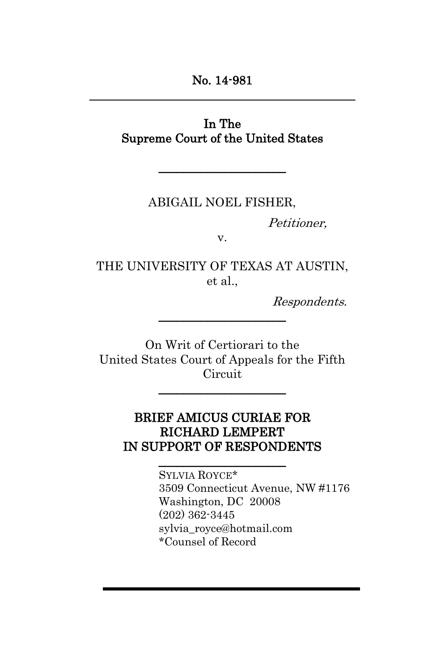## In The Supreme Court of the United States

\_\_\_\_\_\_\_\_\_\_\_\_\_\_\_\_\_\_\_\_\_

### ABIGAIL NOEL FISHER,

Petitioner,

v.

THE UNIVERSITY OF TEXAS AT AUSTIN, et al.,

\_\_\_\_\_\_\_\_\_\_\_\_\_\_\_\_\_\_\_\_\_

Respondents.

On Writ of Certiorari to the United States Court of Appeals for the Fifth Circuit

\_\_\_\_\_\_\_\_\_\_\_\_\_\_\_\_\_\_\_\_\_

## BRIEF AMICUS CURIAE FOR RICHARD LEMPERT IN SUPPORT OF RESPONDENTS

\_\_\_\_\_\_\_\_\_\_\_\_\_\_\_\_\_\_\_\_\_

SYLVIA ROYCE\* 3509 Connecticut Avenue, NW #1176 Washington, DC 20008 (202) 362-3445 sylvia\_royce@hotmail.com \*Counsel of Record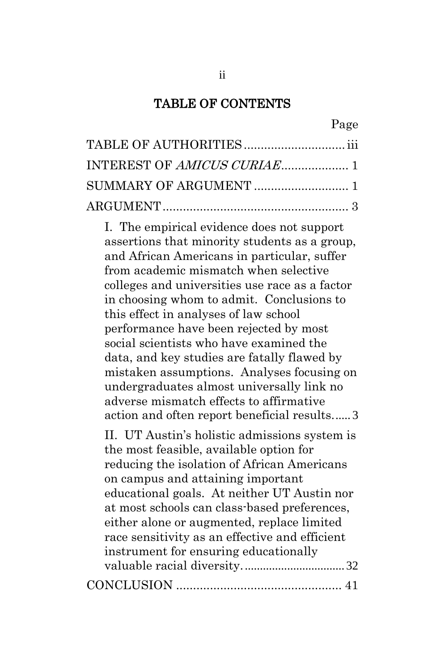#### TABLE OF CONTENTS

[I. The empirical evidence does not support](#page-12-1)  [assertions that minority students as a group,](#page-12-1)  [and African Americans in particular, suffer](#page-12-1)  [from academic mismatch when selective](#page-12-1)  [colleges and universities use race as a factor](#page-12-1)  [in choosing whom to admit. Conclusions to](#page-12-1)  [this effect in analyses of law school](#page-12-1)  [performance have been rejected by most](#page-12-1)  [social scientists who have examined the](#page-12-1)  [data, and key studies are fatally flawed by](#page-12-1)  [mistaken assumptions. Analyses focusing on](#page-12-1)  [undergraduates almost universally link no](#page-12-1)  [adverse mismatch effects to affirmative](#page-12-1)  [action and often report beneficial results.](#page-12-1)..... 3

[II. UT Austin's holistic admissions system is](#page-41-0)  [the most feasible, available option for](#page-41-0)  [reducing the isolation of African Americans](#page-41-0)  [on campus and attaining important](#page-41-0)  [educational goals. At neither UT Austin nor](#page-41-0)  [at most schools can class-based preferences,](#page-41-0)  [either alone or augmented, replace limited](#page-41-0)  [race sensitivity as an effective and efficient](#page-41-0)  [instrument for ensuring educationally](#page-41-0)  [valuable racial diversity.](#page-41-0)................................. 32 CONCLUSION [.................................................](#page-50-0) 41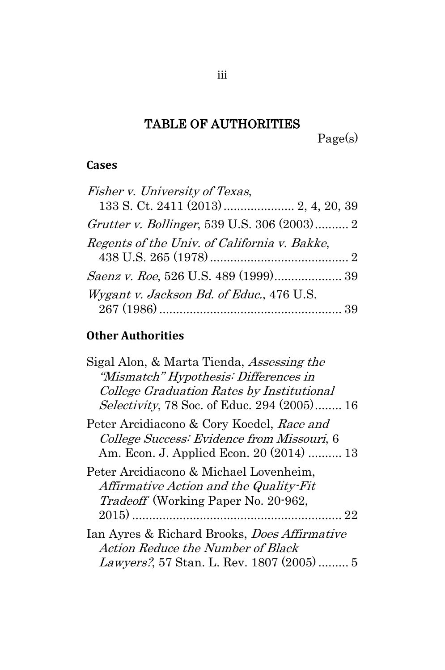# TABLE OF AUTHORITIES

Page(s)

### <span id="page-2-0"></span>**Cases**

| Fisher v. University of Texas,               |  |
|----------------------------------------------|--|
|                                              |  |
| Grutter v. Bollinger, 539 U.S. 306 (2003) 2  |  |
| Regents of the Univ. of California v. Bakke, |  |
|                                              |  |
|                                              |  |
| Wygant v. Jackson Bd. of Educ., 476 U.S.     |  |
|                                              |  |

# **Other Authorities**

| Sigal Alon, & Marta Tienda, <i>Assessing the</i>    |
|-----------------------------------------------------|
| "Mismatch" Hypothesis: Differences in               |
| College Graduation Rates by Institutional           |
| <i>Selectivity</i> , 78 Soc. of Educ. 294 (2005) 16 |
| Peter Arcidiacono & Cory Koedel, Race and           |
| College Success: Evidence from Missouri, 6          |
| Am. Econ. J. Applied Econ. 20 (2014)  13            |
| Peter Arcidiacono & Michael Lovenheim,              |
| Affirmative Action and the Quality-Fit              |
| <i>Tradeoff</i> (Working Paper No. 20-962,          |
| 22                                                  |
| Ian Ayres & Richard Brooks, <i>Does Affirmative</i> |
| Action Reduce the Number of Black                   |
| <i>Lawyers?</i> , 57 Stan. L. Rev. 1807 (2005) 5    |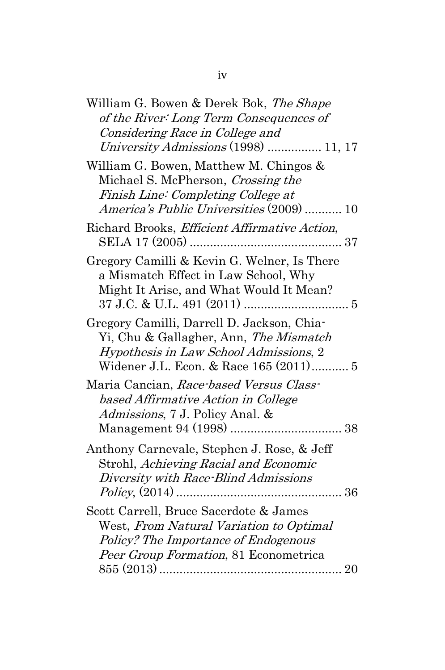| William G. Bowen & Derek Bok, The Shape<br>of the River: Long Term Consequences of                                                                                       |
|--------------------------------------------------------------------------------------------------------------------------------------------------------------------------|
| Considering Race in College and<br>University Admissions (1998)  11, 17                                                                                                  |
| William G. Bowen, Matthew M. Chingos &<br>Michael S. McPherson, Crossing the<br>Finish Line: Completing College at<br>America's Public Universities (2009)  10           |
| Richard Brooks, Efficient Affirmative Action,                                                                                                                            |
| Gregory Camilli & Kevin G. Welner, Is There<br>a Mismatch Effect in Law School, Why<br>Might It Arise, and What Would It Mean?                                           |
| Gregory Camilli, Darrell D. Jackson, Chia-<br>Yi, Chu & Gallagher, Ann, The Mismatch<br>Hypothesis in Law School Admissions, 2<br>Widener J.L. Econ. & Race 165 (2011) 5 |
| Maria Cancian, Race-based Versus Class-<br>based Affirmative Action in College<br>Admissions, 7 J. Policy Anal. &<br>38                                                  |
| Anthony Carnevale, Stephen J. Rose, & Jeff<br>Strohl, Achieving Racial and Economic<br>Diversity with Race-Blind Admissions                                              |
| Scott Carrell, Bruce Sacerdote & James<br>West, From Natural Variation to Optimal<br>Policy? The Importance of Endogenous<br>Peer Group Formation, 81 Econometrica       |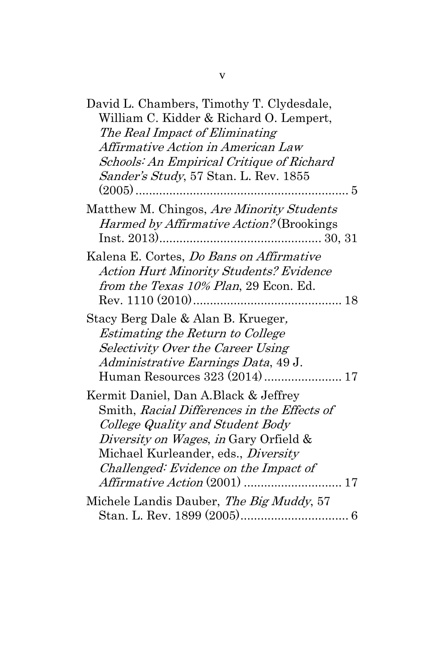| David L. Chambers, Timothy T. Clydesdale,       |
|-------------------------------------------------|
| William C. Kidder & Richard O. Lempert,         |
| The Real Impact of Eliminating                  |
| Affirmative Action in American Law              |
| Schools: An Empirical Critique of Richard       |
| Sander's Study, 57 Stan. L. Rev. 1855           |
|                                                 |
| Matthew M. Chingos, Are Minority Students       |
| <i>Harmed by Affirmative Action?</i> (Brookings |
|                                                 |
| Kalena E. Cortes, Do Bans on Affirmative        |
| <b>Action Hurt Minority Students? Evidence</b>  |
| from the Texas 10% Plan, 29 Econ. Ed.           |
|                                                 |
|                                                 |
| Stacy Berg Dale & Alan B. Krueger,              |
| Estimating the Return to College                |
| Selectivity Over the Career Using               |
| Administrative Earnings Data, 49 J.             |
|                                                 |
| Kermit Daniel, Dan A.Black & Jeffrey            |
| Smith, Racial Differences in the Effects of     |
| College Quality and Student Body                |
| Diversity on Wages, in Gary Orfield &           |
| Michael Kurleander, eds., <i>Diversity</i>      |
| Challenged: Evidence on the Impact of           |
|                                                 |
| Michele Landis Dauber, The Big Muddy, 57        |
|                                                 |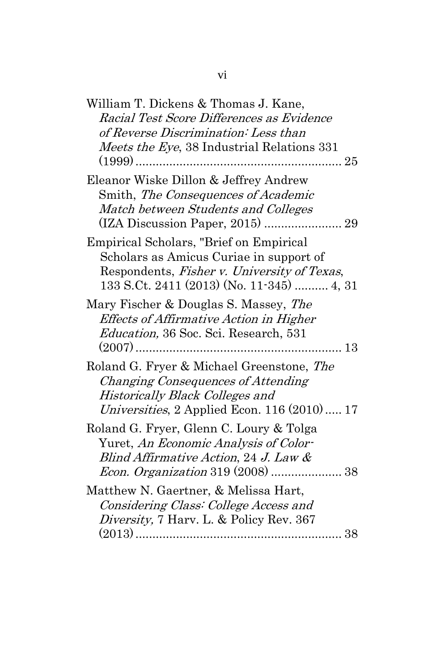| William T. Dickens & Thomas J. Kane,         |
|----------------------------------------------|
| Racial Test Score Differences as Evidence    |
| of Reverse Discrimination: Less than         |
| Meets the Eye, 38 Industrial Relations 331   |
|                                              |
| Eleanor Wiske Dillon & Jeffrey Andrew        |
| Smith, The Consequences of Academic          |
| Match between Students and Colleges          |
| (IZA Discussion Paper, 2015)  29             |
| Empirical Scholars, "Brief on Empirical      |
| Scholars as Amicus Curiae in support of      |
| Respondents, Fisher v. University of Texas,  |
| 133 S.Ct. 2411 (2013) (No. 11-345)  4, 31    |
| Mary Fischer & Douglas S. Massey, The        |
| Effects of Affirmative Action in Higher      |
| Education, 36 Soc. Sci. Research, 531        |
| $(2007)$<br>13<br>.                          |
| Roland G. Fryer & Michael Greenstone, The    |
| Changing Consequences of Attending           |
| Historically Black Colleges and              |
| Universities, 2 Applied Econ. 116 (2010)  17 |
| Roland G. Fryer, Glenn C. Loury & Tolga      |
| Yuret, An Economic Analysis of Color-        |
| Blind Affirmative Action, 24 J. Law $\&$     |
|                                              |
| Matthew N. Gaertner, & Melissa Hart,         |
| Considering Class: College Access and        |
| Diversity, 7 Harv. L. & Policy Rev. 367      |
| 38                                           |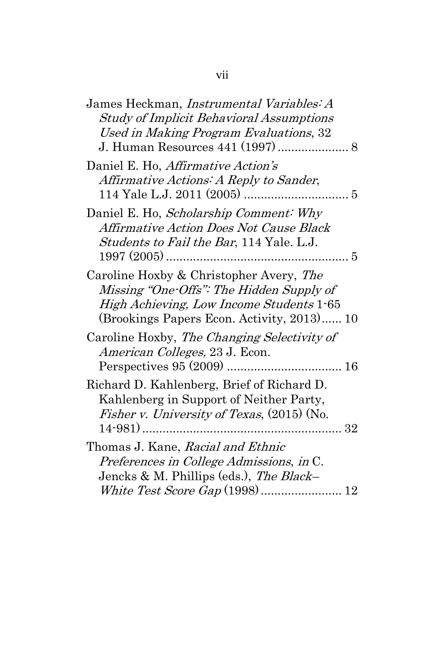| James Heckman, Instrumental Variables: A          |
|---------------------------------------------------|
| <b>Study of Implicit Behavioral Assumptions</b>   |
| Used in Making Program Evaluations, 32            |
|                                                   |
| Daniel E. Ho, Affirmative Action's                |
| Affirmative Actions: A Reply to Sander,           |
|                                                   |
| Daniel E. Ho, Scholarship Comment: Why            |
| Affirmative Action Does Not Cause Black           |
| Students to Fail the Bar, 114 Yale. L.J.          |
|                                                   |
| Caroline Hoxby & Christopher Avery, The           |
| Missing "One-Offs": The Hidden Supply of          |
| High Achieving, Low Income Students 1-65          |
| (Brookings Papers Econ. Activity, 2013) 10        |
| Caroline Hoxby, The Changing Selectivity of       |
| American Colleges, 23 J. Econ.                    |
|                                                   |
| Richard D. Kahlenberg, Brief of Richard D.        |
| Kahlenberg in Support of Neither Party,           |
| <i>Fisher v. University of Texas,</i> (2015) (No. |
|                                                   |
| Thomas J. Kane, Racial and Ethnic                 |
| Preferences in College Admissions, in C.          |
| Jencks & M. Phillips (eds.), The Black-           |
|                                                   |
|                                                   |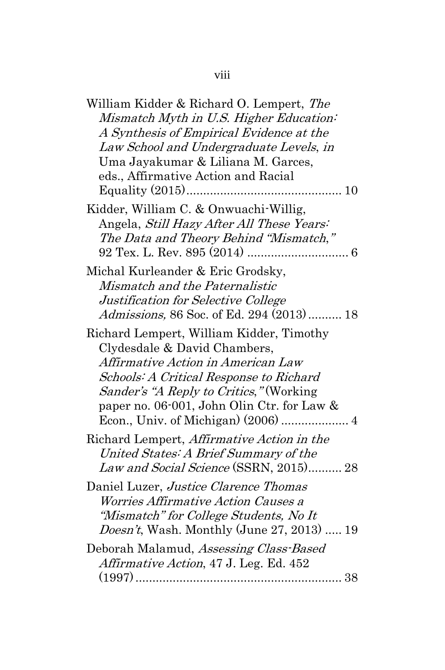## viii

| William Kidder & Richard O. Lempert, The   |
|--------------------------------------------|
| Mismatch Myth in U.S. Higher Education:    |
| A Synthesis of Empirical Evidence at the   |
| Law School and Undergraduate Levels, in    |
| Uma Jayakumar & Liliana M. Garces,         |
| eds., Affirmative Action and Racial        |
|                                            |
| Kidder, William C. & Onwuachi-Willig,      |
| Angela, Still Hazy After All These Years:  |
| The Data and Theory Behind "Mismatch,"     |
|                                            |
| Michal Kurleander & Eric Grodsky,          |
| Mismatch and the Paternalistic             |
| Justification for Selective College        |
| Admissions, 86 Soc. of Ed. 294 (2013)  18  |
| Richard Lempert, William Kidder, Timothy   |
| Clydesdale & David Chambers,               |
| Affirmative Action in American Law         |
| Schools: A Critical Response to Richard    |
| Sander's "A Reply to Critics," (Working    |
| paper no. 06-001, John Olin Ctr. for Law & |
|                                            |
| Richard Lempert, Affirmative Action in the |
| United States: A Brief Summary of the      |
| Law and Social Science (SSRN, 2015) 28     |
| Daniel Luzer, Justice Clarence Thomas      |
| <i>Worries Affirmative Action Causes a</i> |
| "Mismatch" for College Students, No It     |
| Doesn't, Wash. Monthly (June 27, 2013)  19 |
| Deborah Malamud, Assessing Class-Based     |
| Affirmative Action, 47 J. Leg. Ed. 452     |
|                                            |
|                                            |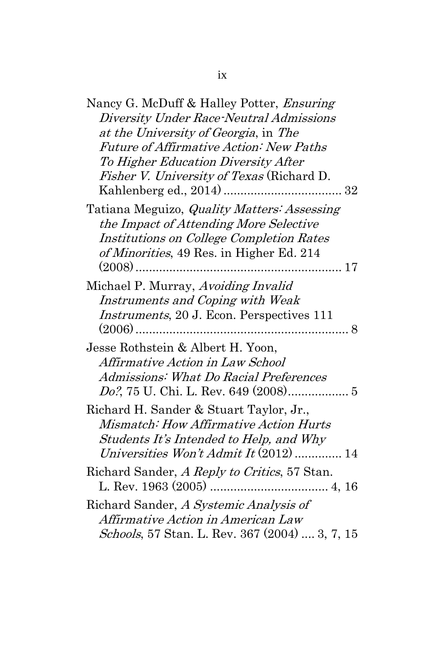| Nancy G. McDuff & Halley Potter, <i>Ensuring</i><br>Diversity Under Race-Neutral Admissions<br>at the University of Georgia, in The<br><i>Future of Affirmative Action: New Paths</i><br>To Higher Education Diversity After<br><i>Fisher V. University of Texas</i> (Richard D. |
|----------------------------------------------------------------------------------------------------------------------------------------------------------------------------------------------------------------------------------------------------------------------------------|
| Tatiana Meguizo, <i>Quality Matters: Assessing</i><br>the Impact of Attending More Selective<br>Institutions on College Completion Rates<br>of Minorities, 49 Res. in Higher Ed. 214                                                                                             |
| Michael P. Murray, Avoiding Invalid<br>Instruments and Coping with Weak<br>Instruments, 20 J. Econ. Perspectives 111                                                                                                                                                             |
| Jesse Rothstein & Albert H. Yoon,<br>Affirmative Action in Law School<br>Admissions: What Do Racial Preferences<br>Do?, 75 U. Chi. L. Rev. 649 (2008) 5                                                                                                                          |
| Richard H. Sander & Stuart Taylor, Jr.,<br>Mismatch: How Affirmative Action Hurts<br>Students It's Intended to Help, and Why<br>Universities Won't Admit It $(2012)$ 14                                                                                                          |
| Richard Sander, A Reply to Critics, 57 Stan.                                                                                                                                                                                                                                     |
| Richard Sander, A Systemic Analysis of<br>Affirmative Action in American Law<br>Schools, 57 Stan. L. Rev. 367 (2004)  3, 7, 15                                                                                                                                                   |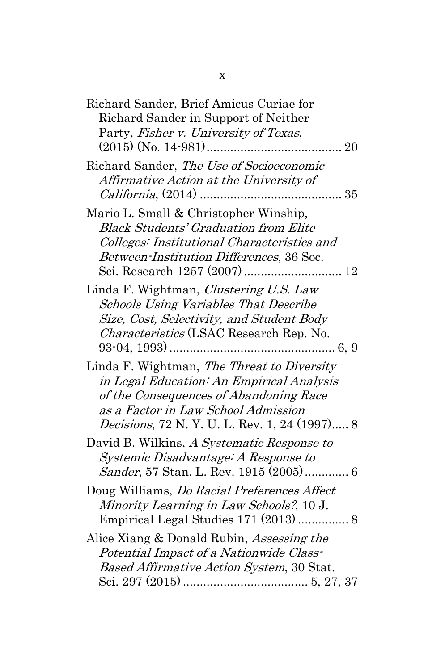| Richard Sander, Brief Amicus Curiae for            |
|----------------------------------------------------|
| Richard Sander in Support of Neither               |
| Party, Fisher v. University of Texas,              |
|                                                    |
| Richard Sander, The Use of Socioeconomic           |
| Affirmative Action at the University of            |
| $California, (2014)$<br>35                         |
| Mario L. Small & Christopher Winship,              |
| <b>Black Students' Graduation from Elite</b>       |
| Colleges: Institutional Characteristics and        |
| Between-Institution Differences, 36 Soc.           |
|                                                    |
| Linda F. Wightman, Clustering U.S. Law             |
| <b>Schools Using Variables That Describe</b>       |
| Size, Cost, Selectivity, and Student Body          |
| Characteristics (LSAC Research Rep. No.            |
|                                                    |
| Linda F. Wightman, The Threat to Diversity         |
| in Legal Education: An Empirical Analysis          |
|                                                    |
| of the Consequences of Abandoning Race             |
| as a Factor in Law School Admission                |
| <i>Decisions</i> , 72 N.Y.U.L.Rev. 1, 24 (1997) 8  |
| David B. Wilkins, A Systematic Response to         |
| Systemic Disadvantage: A Response to               |
|                                                    |
| Doug Williams, <i>Do Racial Preferences Affect</i> |
| Minority Learning in Law Schools?, 10 J.           |
|                                                    |
| Alice Xiang & Donald Rubin, <i>Assessing the</i>   |
| Potential Impact of a Nationwide Class-            |
| Based Affirmative Action System, 30 Stat.          |
|                                                    |
|                                                    |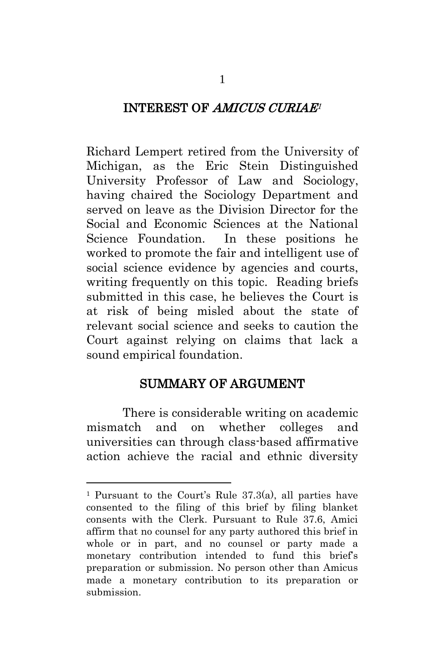## <span id="page-10-0"></span>INTEREST OF AMICUS CURIAE<sup>1</sup>

Richard Lempert retired from the University of Michigan, as the Eric Stein Distinguished University Professor of Law and Sociology, having chaired the Sociology Department and served on leave as the Division Director for the Social and Economic Sciences at the National Science Foundation. In these positions he worked to promote the fair and intelligent use of social science evidence by agencies and courts, writing frequently on this topic. Reading briefs submitted in this case, he believes the Court is at risk of being misled about the state of relevant social science and seeks to caution the Court against relying on claims that lack a sound empirical foundation.

## SUMMARY OF ARGUMENT

<span id="page-10-1"></span> There is considerable writing on academic mismatch and on whether colleges and universities can through class-based affirmative action achieve the racial and ethnic diversity

<sup>&</sup>lt;sup>1</sup> Pursuant to the Court's Rule  $37.3(a)$ , all parties have consented to the filing of this brief by filing blanket consents with the Clerk. Pursuant to Rule 37.6, Amici affirm that no counsel for any party authored this brief in whole or in part, and no counsel or party made a monetary contribution intended to fund this brief's preparation or submission. No person other than Amicus made a monetary contribution to its preparation or submission.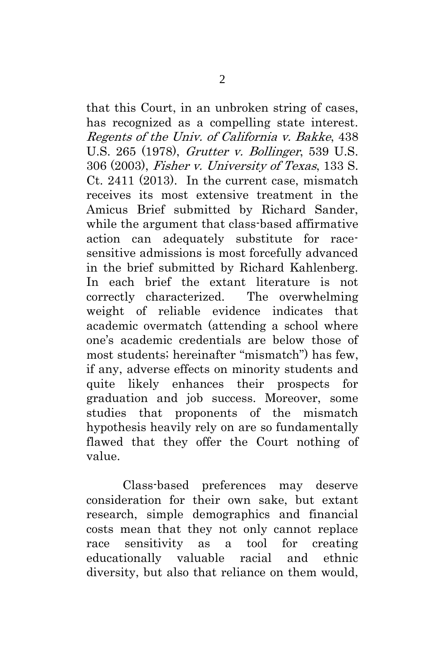that this Court, in an unbroken string of cases, has recognized as a compelling state interest. Regents of the Univ. of California v. Bakke, 438 U.S. 265 (1978), Grutter v. Bollinger, 539 U.S. 306 (2003), Fisher v. University of Texas, 133 S. Ct. 2411 (2013). In the current case, mismatch receives its most extensive treatment in the Amicus Brief submitted by Richard Sander, while the argument that class-based affirmative action can adequately substitute for racesensitive admissions is most forcefully advanced in the brief submitted by Richard Kahlenberg. In each brief the extant literature is not correctly characterized. The overwhelming weight of reliable evidence indicates that academic overmatch (attending a school where one's academic credentials are below those of most students; hereinafter "mismatch") has few, if any, adverse effects on minority students and quite likely enhances their prospects for graduation and job success. Moreover, some studies that proponents of the mismatch hypothesis heavily rely on are so fundamentally flawed that they offer the Court nothing of value.

Class-based preferences may deserve consideration for their own sake, but extant research, simple demographics and financial costs mean that they not only cannot replace race sensitivity as a tool for creating educationally valuable racial and ethnic diversity, but also that reliance on them would,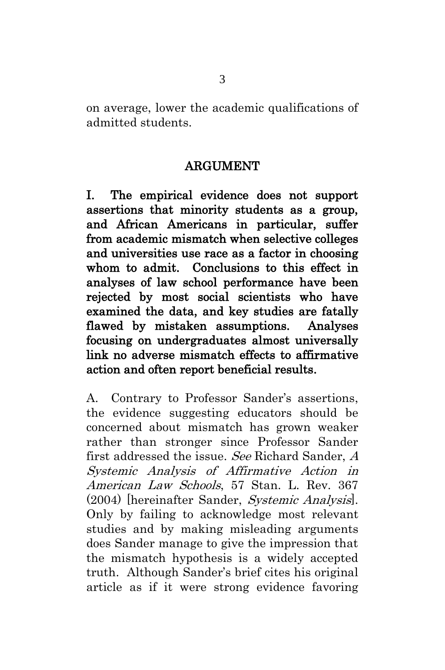on average, lower the academic qualifications of admitted students.

### ARGUMENT

<span id="page-12-1"></span><span id="page-12-0"></span>I. The empirical evidence does not support assertions that minority students as a group, and African Americans in particular, suffer from academic mismatch when selective colleges and universities use race as a factor in choosing whom to admit. Conclusions to this effect in analyses of law school performance have been rejected by most social scientists who have examined the data, and key studies are fatally flawed by mistaken assumptions. Analyses focusing on undergraduates almost universally link no adverse mismatch effects to affirmative action and often report beneficial results.

A. Contrary to Professor Sander's assertions, the evidence suggesting educators should be concerned about mismatch has grown weaker rather than stronger since Professor Sander first addressed the issue. See Richard Sander, A Systemic Analysis of Affirmative Action in American Law Schools, 57 Stan. L. Rev. 367 (2004) [hereinafter Sander, Systemic Analysis]. Only by failing to acknowledge most relevant studies and by making misleading arguments does Sander manage to give the impression that the mismatch hypothesis is a widely accepted truth. Although Sander's brief cites his original article as if it were strong evidence favoring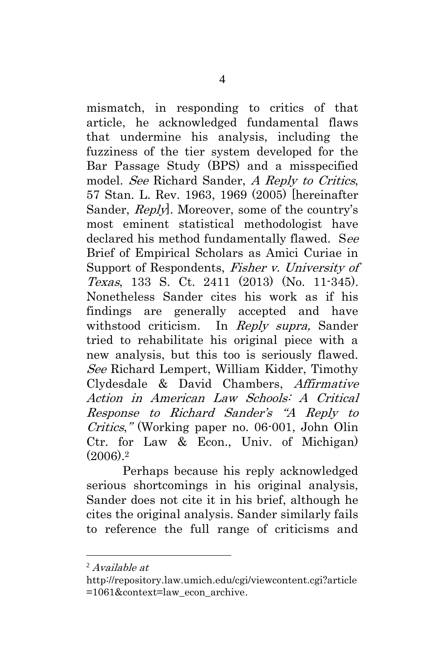mismatch, in responding to critics of that article, he acknowledged fundamental flaws that undermine his analysis, including the fuzziness of the tier system developed for the Bar Passage Study (BPS) and a misspecified model. See Richard Sander, A Reply to Critics, 57 Stan. L. Rev. 1963, 1969 (2005) [hereinafter Sander, Reply]. Moreover, some of the country's most eminent statistical methodologist have declared his method fundamentally flawed. See Brief of Empirical Scholars as Amici Curiae in Support of Respondents, Fisher v. University of Texas, 133 S. Ct. 2411 (2013) (No. 11-345). Nonetheless Sander cites his work as if his findings are generally accepted and have withstood criticism. In Reply supra, Sander tried to rehabilitate his original piece with a new analysis, but this too is seriously flawed. See Richard Lempert, William Kidder, Timothy Clydesdale & David Chambers, Affirmative Action in American Law Schools: A Critical Response to Richard Sander's "A Reply to Critics," (Working paper no. 06-001, John Olin Ctr. for Law & Econ., Univ. of Michigan) (2006). 2

Perhaps because his reply acknowledged serious shortcomings in his original analysis, Sander does not cite it in his brief, although he cites the original analysis. Sander similarly fails to reference the full range of criticisms and

 $^{2}$  Available at

[http://repository.law.umich.edu/cgi/viewcontent.cgi?article](http://repository.law.umich.edu/cgi/viewcontent.cgi?article=1061&context=law_econ_archive) [=1061&context=law\\_econ\\_archive](http://repository.law.umich.edu/cgi/viewcontent.cgi?article=1061&context=law_econ_archive).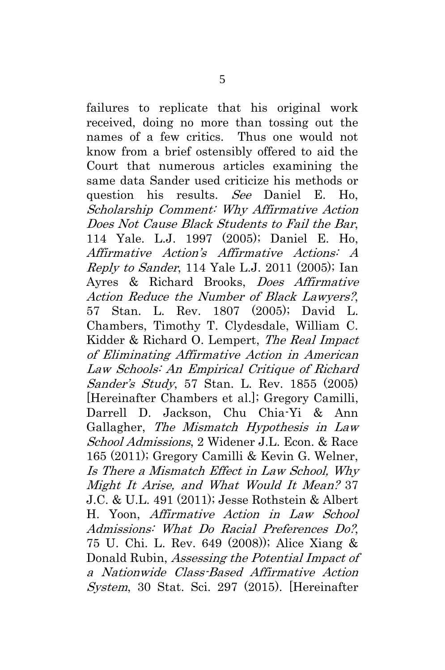failures to replicate that his original work received, doing no more than tossing out the names of a few critics. Thus one would not know from a brief ostensibly offered to aid the Court that numerous articles examining the same data Sander used criticize his methods or question his results. See Daniel E. Ho, Scholarship Comment: Why Affirmative Action Does Not Cause Black Students to Fail the Bar, 114 Yale. L.J. 1997 (2005); Daniel E. Ho, Affirmative Action's Affirmative Actions: A Reply to Sander, 114 Yale L.J. 2011 (2005); Ian Ayres & Richard Brooks, Does Affirmative Action Reduce the Number of Black Lawyers?, 57 Stan. L. Rev. 1807 (2005); David L. Chambers, Timothy T. Clydesdale, William C. Kidder & Richard O. Lempert, The Real Impact of Eliminating Affirmative Action in American Law Schools: An Empirical Critique of Richard Sander's Study, 57 Stan. L. Rev. 1855 (2005) [Hereinafter Chambers et al.]; Gregory Camilli, Darrell D. Jackson, Chu Chia-Yi & Ann Gallagher, The Mismatch Hypothesis in Law School Admissions, 2 Widener J.L. Econ. & Race 165 (2011); Gregory Camilli & Kevin G. Welner, Is There <sup>a</sup> [Mismatch](http://www.aera.net/Portals/38/docs/Education_Research_and_Research_Policy/Amicus/Camilli%20Welner.pdf) Effect in Law School, Why [Might](http://www.aera.net/Portals/38/docs/Education_Research_and_Research_Policy/Amicus/Camilli%20Welner.pdf) It Arise, and What Would It Mean? 37 J.C. & U.L. 491 (2011); Jesse Rothstein & Albert H. Yoon, Affirmative Action in Law School Admissions: What Do Racial Preferences Do?, 75 U. Chi. L. Rev. 649 (2008)); Alice Xiang & Donald Rubin, Assessing the Potential Impact of a Nationwide Class-Based Affirmative Action System, 30 Stat. Sci. 297 (2015). [Hereinafter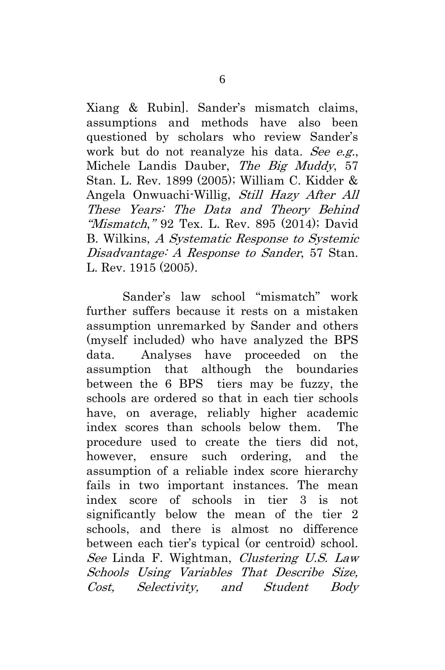Xiang & Rubin]. Sander's mismatch claims, assumptions and methods have also been questioned by scholars who review Sander's work but do not reanalyze his data. See e.g., Michele Landis Dauber, The Big Muddy, 57 Stan. L. Rev. 1899 (2005); William C. Kidder & Angela Onwuachi-Willig, Still Hazy After All These Years: The Data and Theory Behind "Mismatch," 92 Tex. L. Rev. 895 (2014); David B. Wilkins, A Systematic Response to Systemic Disadvantage: A Response to Sander, 57 Stan. L. Rev. 1915 (2005).

Sander's law school "mismatch" work further suffers because it rests on a mistaken assumption unremarked by Sander and others (myself included) who have analyzed the BPS data. Analyses have proceeded on the assumption that although the boundaries between the 6 BPS tiers may be fuzzy, the schools are ordered so that in each tier schools have, on average, reliably higher academic index scores than schools below them. The procedure used to create the tiers did not, however, ensure such ordering, and the assumption of a reliable index score hierarchy fails in two important instances. The mean index score of schools in tier 3 is not significantly below the mean of the tier 2 schools, and there is almost no difference between each tier's typical (or centroid) school. See Linda F. Wightman, Clustering U.S. Law Schools Using Variables That Describe Size, Cost, Selectivity, and Student Body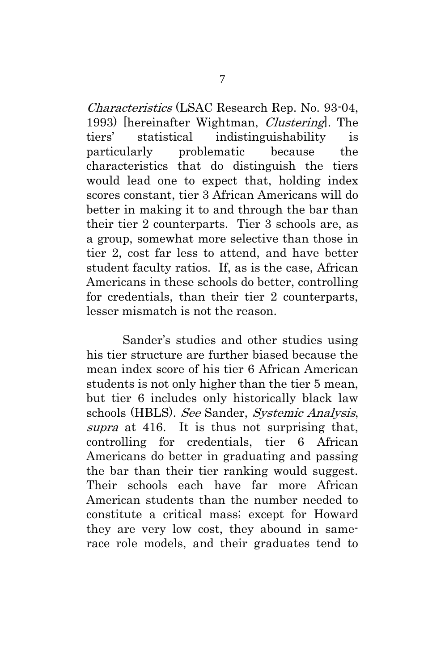Characteristics (LSAC Research Rep. No. 93-04, 1993) [hereinafter Wightman, Clustering]. The tiers' statistical indistinguishability is particularly problematic because the characteristics that do distinguish the tiers would lead one to expect that, holding index scores constant, tier 3 African Americans will do better in making it to and through the bar than their tier 2 counterparts. Tier 3 schools are, as a group, somewhat more selective than those in tier 2, cost far less to attend, and have better student faculty ratios. If, as is the case, African Americans in these schools do better, controlling for credentials, than their tier 2 counterparts, lesser mismatch is not the reason.

Sander's studies and other studies using his tier structure are further biased because the mean index score of his tier 6 African American students is not only higher than the tier 5 mean, but tier 6 includes only historically black law schools (HBLS). See Sander, Systemic Analysis, supra at 416. It is thus not surprising that, controlling for credentials, tier 6 African Americans do better in graduating and passing the bar than their tier ranking would suggest. Their schools each have far more African American students than the number needed to constitute a critical mass; except for Howard they are very low cost, they abound in samerace role models, and their graduates tend to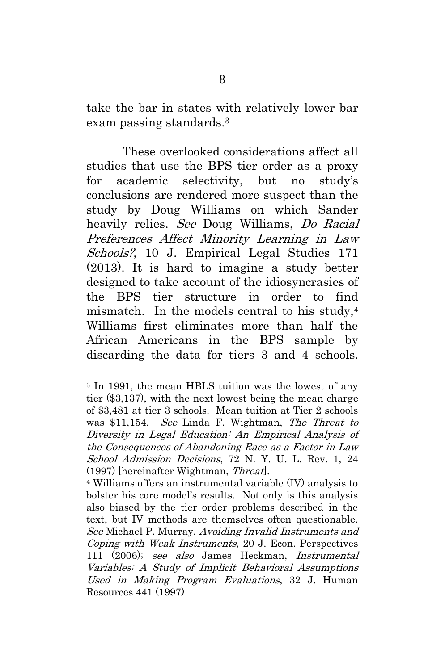take the bar in states with relatively lower bar exam passing standards. 3

These overlooked considerations affect all studies that use the BPS tier order as a proxy for academic selectivity, but no study's conclusions are rendered more suspect than the study by Doug Williams on which Sander heavily relies. See Doug Williams, Do Racial Preferences Affect Minority Learning in Law Schools?, 10 J. Empirical Legal Studies 171 (2013). It is hard to imagine a study better designed to take account of the idiosyncrasies of the BPS tier structure in order to find mismatch. In the models central to his study, 4 Williams first eliminates more than half the African Americans in the BPS sample by discarding the data for tiers 3 and 4 schools.

<sup>3</sup> In 1991, the mean HBLS tuition was the lowest of any tier (\$3,137), with the next lowest being the mean charge of \$3,481 at tier 3 schools. Mean tuition at Tier 2 schools was \$11,154. See Linda F. Wightman, The Threat to Diversity in Legal Education: An Empirical Analysis of the Consequences of Abandoning Race as a Factor in Law School Admission Decisions, 72 N. Y. U. L. Rev. 1, 24 (1997) [hereinafter Wightman, Threat].

<sup>4</sup> Williams offers an instrumental variable (IV) analysis to bolster his core model's results. Not only is this analysis also biased by the tier order problems described in the text, but IV methods are themselves often questionable. See Michael P. Murray, Avoiding Invalid Instruments and Coping with Weak Instruments, 20 J. Econ. Perspectives 111 (2006); see also James Heckman, Instrumental Variables: A Study of Implicit Behavioral Assumptions Used in Making Program Evaluations, 32 J. Human Resources 441 (1997).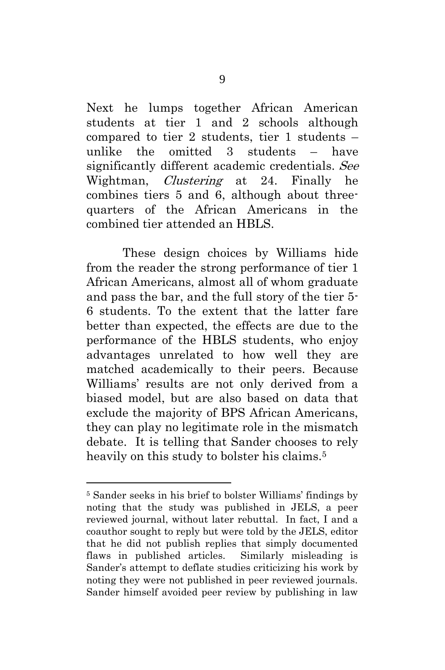Next he lumps together African American students at tier 1 and 2 schools although compared to tier 2 students, tier 1 students – unlike the omitted 3 students – have significantly different academic credentials. See Wightman, *Clustering* at 24. Finally he combines tiers 5 and 6, although about threequarters of the African Americans in the combined tier attended an HBLS.

These design choices by Williams hide from the reader the strong performance of tier 1 African Americans, almost all of whom graduate and pass the bar, and the full story of the tier 5- 6 students. To the extent that the latter fare better than expected, the effects are due to the performance of the HBLS students, who enjoy advantages unrelated to how well they are matched academically to their peers. Because Williams' results are not only derived from a biased model, but are also based on data that exclude the majority of BPS African Americans, they can play no legitimate role in the mismatch debate. It is telling that Sander chooses to rely heavily on this study to bolster his claims.<sup>5</sup>

<sup>5</sup> Sander seeks in his brief to bolster Williams' findings by noting that the study was published in JELS, a peer reviewed journal, without later rebuttal. In fact, I and a coauthor sought to reply but were told by the JELS, editor that he did not publish replies that simply documented flaws in published articles. Similarly misleading is Sander's attempt to deflate studies criticizing his work by noting they were not published in peer reviewed journals. Sander himself avoided peer review by publishing in law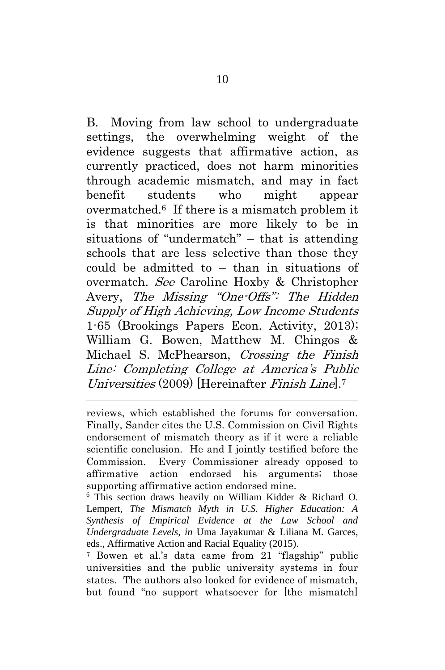B. Moving from law school to undergraduate settings, the overwhelming weight of the evidence suggests that affirmative action, as currently practiced, does not harm minorities through academic mismatch, and may in fact benefit students who might appear overmatched.6 If there is a mismatch problem it is that minorities are more likely to be in situations of "undermatch" – that is attending schools that are less selective than those they could be admitted to – than in situations of overmatch. See Caroline Hoxby & Christopher Avery, The Missing "One-Offs": The Hidden Supply of High Achieving, Low Income Students 1-65 (Brookings Papers Econ. Activity, 2013); William G. Bowen, Matthew M. Chingos & Michael S. McPhearson, Crossing the Finish Line: Completing College at America's Public Universities (2009) [Hereinafter Finish Line]. 7

 $\overline{a}$ 

<sup>6</sup> This section draws heavily on William Kidder & Richard O. Lempert, *The Mismatch Myth in U.S. Higher Education: A Synthesis of Empirical Evidence at the Law School and Undergraduate Levels*, *in* Uma Jayakumar & Liliana M. Garces, eds., Affirmative Action and Racial Equality (2015).

<sup>7</sup> Bowen et al.'s data came from 21 "flagship" public universities and the public university systems in four states. The authors also looked for evidence of mismatch, but found "no support whatsoever for [the mismatch]

reviews, which established the forums for conversation. Finally, Sander cites the U.S. Commission on Civil Rights endorsement of mismatch theory as if it were a reliable scientific conclusion. He and I jointly testified before the Commission. Every Commissioner already opposed to affirmative action endorsed his arguments; those supporting affirmative action endorsed mine.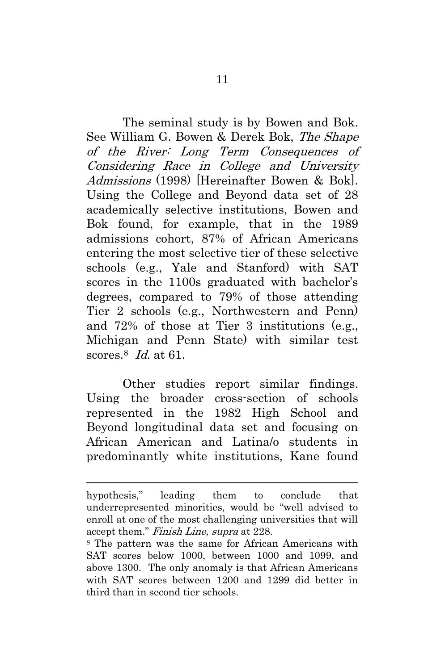The seminal study is by Bowen and Bok. See William G. Bowen & Derek Bok, The Shape of the River: Long Term Consequences of Considering Race in College and University Admissions (1998) [Hereinafter Bowen & Bok]. Using the College and Beyond data set of 28 academically selective institutions, Bowen and Bok found, for example, that in the 1989 admissions cohort, 87% of African Americans entering the most selective tier of these selective schools (e.g., Yale and Stanford) with SAT scores in the 1100s graduated with bachelor's degrees, compared to 79% of those attending Tier 2 schools (e.g., Northwestern and Penn) and 72% of those at Tier 3 institutions (e.g., Michigan and Penn State) with similar test scores.<sup>8</sup> Id. at 61.

Other studies report similar findings. Using the broader cross-section of schools represented in the 1982 High School and Beyond longitudinal data set and focusing on African American and Latina/o students in predominantly white institutions, Kane found

hypothesis," leading them to conclude that underrepresented minorities, would be "well advised to enroll at one of the most challenging universities that will accept them." Finish Line, supra at 228.

<sup>8</sup> The pattern was the same for African Americans with SAT scores below 1000, between 1000 and 1099, and above 1300. The only anomaly is that African Americans with SAT scores between 1200 and 1299 did better in third than in second tier schools.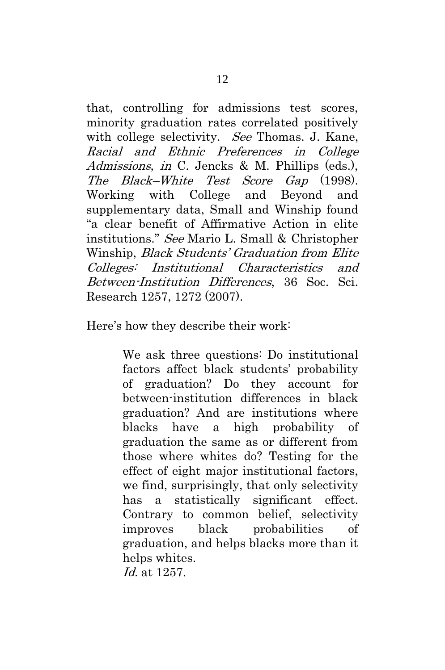that, controlling for admissions test scores, minority graduation rates correlated positively with college selectivity. *See* Thomas, J. Kane, Racial and Ethnic Preferences in College Admissions, in C. Jencks & M. Phillips (eds.), The Black–White Test Score Gap (1998). Working with College and Beyond and supplementary data, Small and Winship found "a clear benefit of Affirmative Action in elite institutions." See Mario L. Small & Christopher Winship, Black Students' Graduation from Elite Colleges: Institutional Characteristics and Between-Institution Differences, 36 Soc. Sci. Research 1257, 1272 (2007).

Here's how they describe their work:

We ask three questions: Do institutional factors affect black students' probability of graduation? Do they account for between-institution differences in black graduation? And are institutions where blacks have a high probability of graduation the same as or different from those where whites do? Testing for the effect of eight major institutional factors, we find, surprisingly, that only selectivity has a statistically significant effect. Contrary to common belief, selectivity improves black probabilities of graduation, and helps blacks more than it helps whites. Id. at 1257.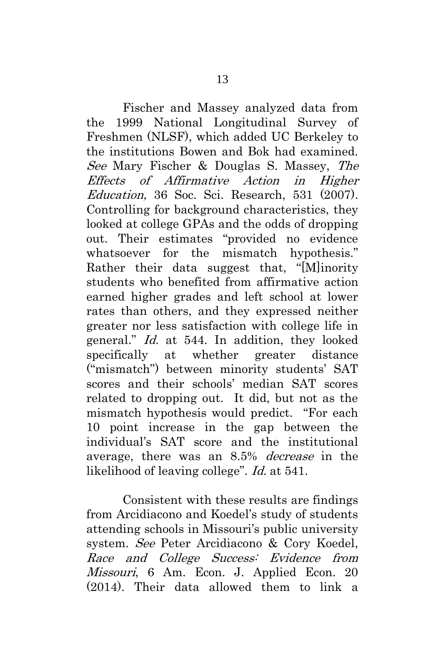Fischer and Massey analyzed data from the 1999 National Longitudinal Survey of Freshmen (NLSF), which added UC Berkeley to the institutions Bowen and Bok had examined. See Mary Fischer & Douglas S. Massey, The Effects of Affirmative Action in Higher Education, 36 Soc. Sci. Research, 531 (2007). Controlling for background characteristics, they looked at college GPAs and the odds of dropping out. Their estimates "provided no evidence whatsoever for the mismatch hypothesis." Rather their data suggest that, "[M]inority students who benefited from affirmative action earned higher grades and left school at lower rates than others, and they expressed neither greater nor less satisfaction with college life in general." Id. at 544. In addition, they looked specifically at whether greater distance ("mismatch") between minority students' SAT scores and their schools' median SAT scores related to dropping out. It did, but not as the mismatch hypothesis would predict. "For each 10 point increase in the gap between the individual's SAT score and the institutional average, there was an 8.5% decrease in the likelihood of leaving college". Id. at 541.

Consistent with these results are findings from Arcidiacono and Koedel's study of students attending schools in Missouri's public university system. See Peter Arcidiacono & Cory Koedel, Race and College Success: Evidence from Missouri, 6 Am. Econ. J. Applied Econ. 20 (2014). Their data allowed them to link a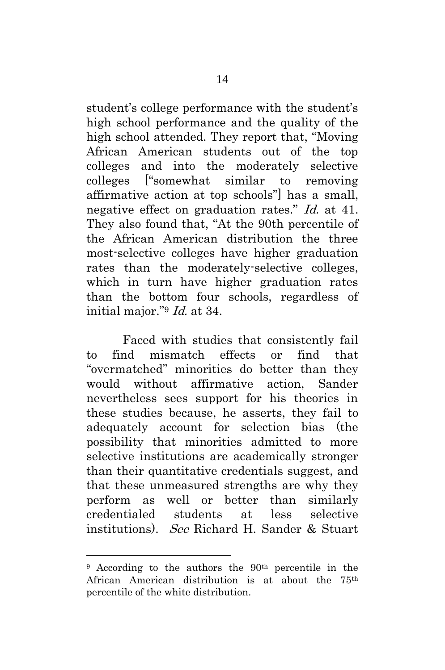student's college performance with the student's high school performance and the quality of the high school attended. They report that, "Moving African American students out of the top colleges and into the moderately selective colleges ["somewhat similar to removing affirmative action at top schools"] has a small, negative effect on graduation rates." Id. at 41. They also found that, "At the 90th percentile of the African American distribution the three most-selective colleges have higher graduation rates than the moderately-selective colleges, which in turn have higher graduation rates than the bottom four schools, regardless of initial major."<sup>9</sup> Id. at 34.

Faced with studies that consistently fail to find mismatch effects or find that "overmatched" minorities do better than they would without affirmative action, Sander nevertheless sees support for his theories in these studies because, he asserts, they fail to adequately account for selection bias (the possibility that minorities admitted to more selective institutions are academically stronger than their quantitative credentials suggest, and that these unmeasured strengths are why they perform as well or better than similarly credentialed students at less selective institutions). See Richard H. Sander & Stuart

<sup>&</sup>lt;sup>9</sup> According to the authors the 90<sup>th</sup> percentile in the African American distribution is at about the 75th percentile of the white distribution.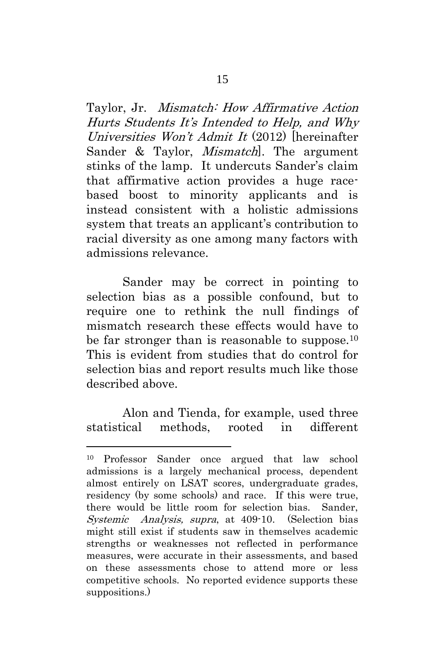Taylor, Jr. Mismatch: How Affirmative Action Hurts Students It's Intended to Help, and Why Universities Won't Admit It (2012) [hereinafter Sander & Taylor, *Mismatch*. The argument stinks of the lamp. It undercuts Sander's claim that affirmative action provides a huge racebased boost to minority applicants and is instead consistent with a holistic admissions system that treats an applicant's contribution to racial diversity as one among many factors with admissions relevance.

Sander may be correct in pointing to selection bias as a possible confound, but to require one to rethink the null findings of mismatch research these effects would have to be far stronger than is reasonable to suppose.<sup>10</sup> This is evident from studies that do control for selection bias and report results much like those described above.

Alon and Tienda, for example, used three statistical methods, rooted in different

<sup>10</sup> Professor Sander once argued that law school admissions is a largely mechanical process, dependent almost entirely on LSAT scores, undergraduate grades, residency (by some schools) and race. If this were true, there would be little room for selection bias. Sander, Systemic Analysis, supra, at 409-10. (Selection bias might still exist if students saw in themselves academic strengths or weaknesses not reflected in performance measures, were accurate in their assessments, and based on these assessments chose to attend more or less competitive schools. No reported evidence supports these suppositions.)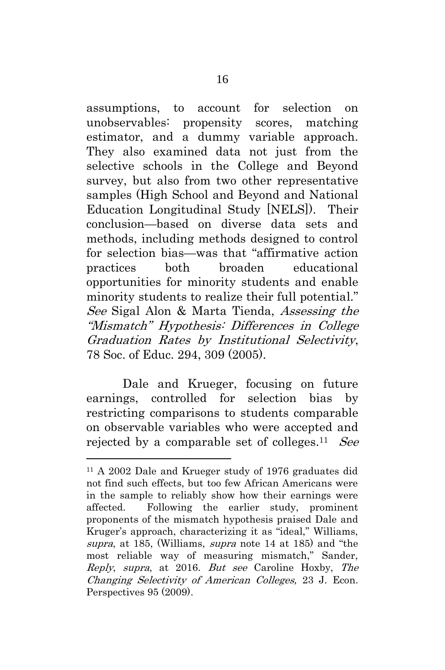assumptions, to account for selection on unobservables: propensity scores, matching estimator, and a dummy variable approach. They also examined data not just from the selective schools in the College and Beyond survey, but also from two other representative samples (High School and Beyond and National Education Longitudinal Study [NELS]). Their conclusion—based on diverse data sets and methods, including methods designed to control for selection bias—was that "affirmative action practices both broaden educational opportunities for minority students and enable minority students to realize their full potential." See Sigal Alon & Marta Tienda, Assessing the "Mismatch" Hypothesis: Differences in College Graduation Rates by Institutional Selectivity, 78 Soc. of Educ. 294, 309 (2005).

Dale and Krueger, focusing on future earnings, controlled for selection bias by restricting comparisons to students comparable on observable variables who were accepted and rejected by a comparable set of colleges.<sup>11</sup> See

<sup>11</sup> A 2002 Dale and Krueger study of 1976 graduates did not find such effects, but too few African Americans were in the sample to reliably show how their earnings were affected. Following the earlier study, prominent proponents of the mismatch hypothesis praised Dale and Kruger's approach, characterizing it as "ideal," Williams, supra, at 185, (Williams, supra note 14 at 185) and "the most reliable way of measuring mismatch," Sander, Reply, supra, at 2016. But see Caroline Hoxby, The Changing Selectivity of American Colleges, 23 J. Econ. Perspectives 95 (2009).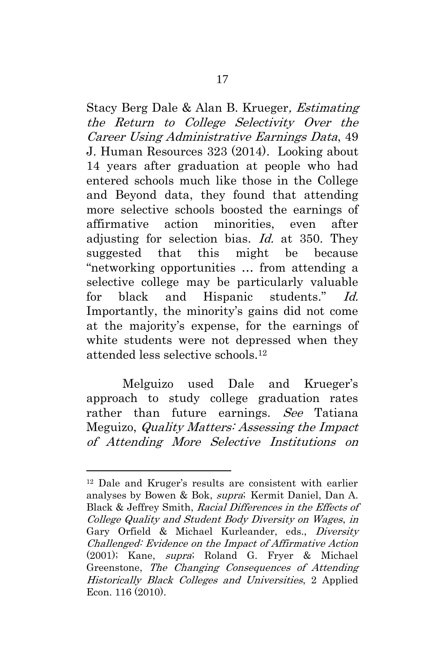Stacy Berg Dale & Alan B. Krueger, Estimating the Return to College Selectivity Over the Career Using Administrative Earnings Data, 49 J. Human Resources 323 (2014). Looking about 14 years after graduation at people who had entered schools much like those in the College and Beyond data, they found that attending more selective schools boosted the earnings of affirmative action minorities, even after adjusting for selection bias. Id. at 350. They suggested that this might be because "networking opportunities … from attending a selective college may be particularly valuable for black and Hispanic students." Id. Importantly, the minority's gains did not come at the majority's expense, for the earnings of white students were not depressed when they attended less selective schools.<sup>12</sup>

Melguizo used Dale and Krueger's approach to study college graduation rates rather than future earnings. See Tatiana Meguizo, Quality Matters: Assessing the Impact of Attending More Selective Institutions on

<sup>12</sup> Dale and Kruger's results are consistent with earlier analyses by Bowen & Bok, supra; Kermit Daniel, Dan A. Black & Jeffrey Smith, Racial Differences in the Effects of College Quality and Student Body Diversity on Wages, in Gary Orfield & Michael Kurleander, eds., Diversity Challenged: Evidence on the Impact of Affirmative Action (2001); Kane, supra; Roland G. Fryer & Michael Greenstone, The Changing Consequences of Attending Historically Black Colleges and Universities, 2 Applied Econ. 116 (2010).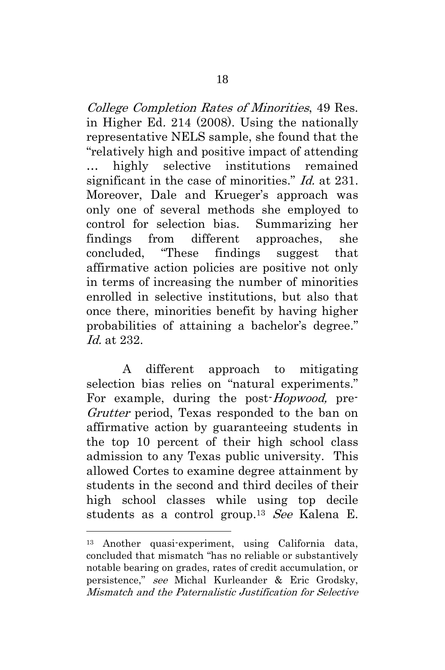College Completion Rates of Minorities, 49 Res. in Higher Ed. 214 (2008). Using the nationally representative NELS sample, she found that the "relatively high and positive impact of attending … highly selective institutions remained significant in the case of minorities." *Id.* at 231. Moreover, Dale and Krueger's approach was only one of several methods she employed to control for selection bias. Summarizing her findings from different approaches, she concluded, "These findings suggest that affirmative action policies are positive not only in terms of increasing the number of minorities enrolled in selective institutions, but also that once there, minorities benefit by having higher probabilities of attaining a bachelor's degree." Id. at 232.

A different approach to mitigating selection bias relies on "natural experiments." For example, during the post-*Hopwood*, pre-Grutter period, Texas responded to the ban on affirmative action by guaranteeing students in the top 10 percent of their high school class admission to any Texas public university. This allowed Cortes to examine degree attainment by students in the second and third deciles of their high school classes while using top decile students as a control group.<sup>13</sup> See Kalena E.

<sup>13</sup> Another quasi-experiment, using California data, concluded that mismatch "has no reliable or substantively notable bearing on grades, rates of credit accumulation, or persistence," see Michal Kurleander & Eric Grodsky, Mismatch and the Paternalistic Justification for Selective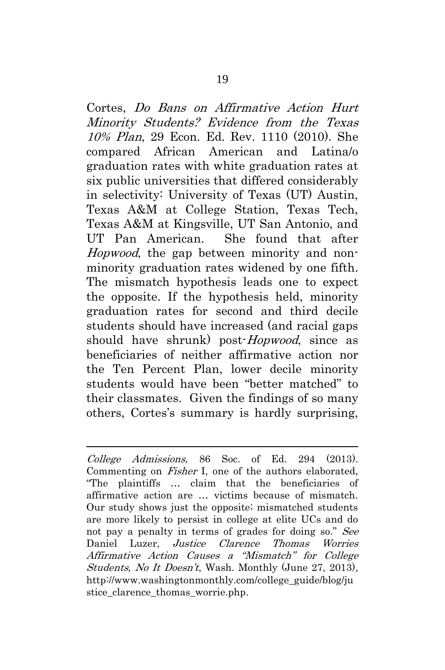Cortes, Do Bans on Affirmative Action Hurt Minority Students? Evidence from the Texas 10% Plan, 29 Econ. Ed. Rev. 1110 (2010). She compared African American and Latina/o graduation rates with white graduation rates at six public universities that differed considerably in selectivity: University of Texas (UT) Austin, Texas A&M at College Station, Texas Tech, Texas A&M at Kingsville, UT San Antonio, and UT Pan American. She found that after Hopwood, the gap between minority and nonminority graduation rates widened by one fifth. The mismatch hypothesis leads one to expect the opposite. If the hypothesis held, minority graduation rates for second and third decile students should have increased (and racial gaps should have shrunk) post-*Hopwood*, since as beneficiaries of neither affirmative action nor the Ten Percent Plan, lower decile minority students would have been "better matched" to their classmates. Given the findings of so many others, Cortes's summary is hardly surprising,

College Admissions, 86 Soc. of Ed. 294 (2013). Commenting on *Fisher* I, one of the authors elaborated, "The plaintiffs … claim that the beneficiaries of affirmative action are … victims because of mismatch. Our study shows just the opposite; mismatched students are more likely to persist in college at elite UCs and do not pay a penalty in terms of grades for doing so." See Daniel Luzer, Justice Clarence Thomas Worries Affirmative Action Causes a "Mismatch" for College Students, No It Doesn't, Wash. Monthly (June 27, 2013), [http://www.washingtonmonthly.com/college\\_guide/blog/ju](http://www.washingtonmonthly.com/college_guide/blog/justice_clarence_thomas_worrie.php) stice clarence thomas worrie.php.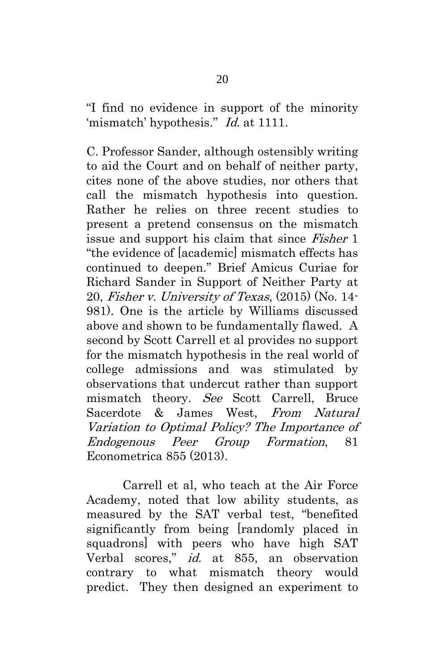"I find no evidence in support of the minority 'mismatch' hypothesis." Id. at 1111.

C. Professor Sander, although ostensibly writing to aid the Court and on behalf of neither party, cites none of the above studies, nor others that call the mismatch hypothesis into question. Rather he relies on three recent studies to present a pretend consensus on the mismatch issue and support his claim that since Fisher 1 "the evidence of [academic] mismatch effects has continued to deepen." Brief Amicus Curiae for Richard Sander in Support of Neither Party at 20, Fisher v. University of Texas, (2015) (No. 14- 981). One is the article by Williams discussed above and shown to be fundamentally flawed. A second by Scott Carrell et al provides no support for the mismatch hypothesis in the real world of college admissions and was stimulated by observations that undercut rather than support mismatch theory. See Scott Carrell, Bruce Sacerdote & James West, From Natural Variation to Optimal Policy? The Importance of Endogenous Peer Group Formation, 81 Econometrica 855 (2013).

Carrell et al, who teach at the Air Force Academy, noted that low ability students, as measured by the SAT verbal test, "benefited significantly from being [randomly placed in squadrons] with peers who have high SAT Verbal scores," id. at 855, an observation contrary to what mismatch theory would predict. They then designed an experiment to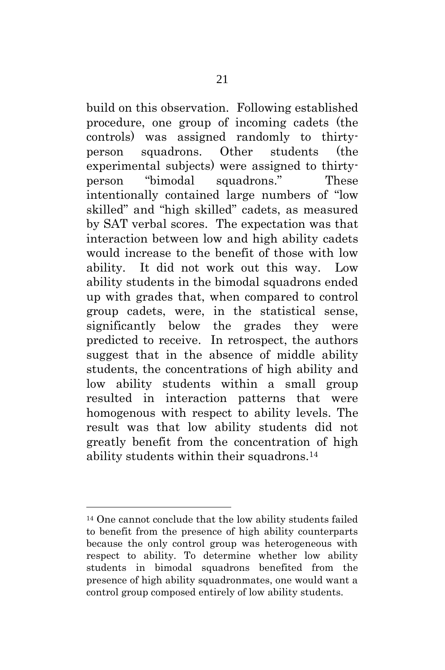build on this observation. Following established procedure, one group of incoming cadets (the controls) was assigned randomly to thirtyperson squadrons. Other students (the experimental subjects) were assigned to thirtyperson "bimodal squadrons." These intentionally contained large numbers of "low skilled" and "high skilled" cadets, as measured by SAT verbal scores. The expectation was that interaction between low and high ability cadets would increase to the benefit of those with low ability. It did not work out this way. Low ability students in the bimodal squadrons ended up with grades that, when compared to control group cadets, were, in the statistical sense, significantly below the grades they were predicted to receive. In retrospect, the authors suggest that in the absence of middle ability students, the concentrations of high ability and low ability students within a small group resulted in interaction patterns that were homogenous with respect to ability levels. The result was that low ability students did not greatly benefit from the concentration of high ability students within their squadrons.<sup>14</sup>

<sup>14</sup> One cannot conclude that the low ability students failed to benefit from the presence of high ability counterparts because the only control group was heterogeneous with respect to ability. To determine whether low ability students in bimodal squadrons benefited from the presence of high ability squadronmates, one would want a control group composed entirely of low ability students.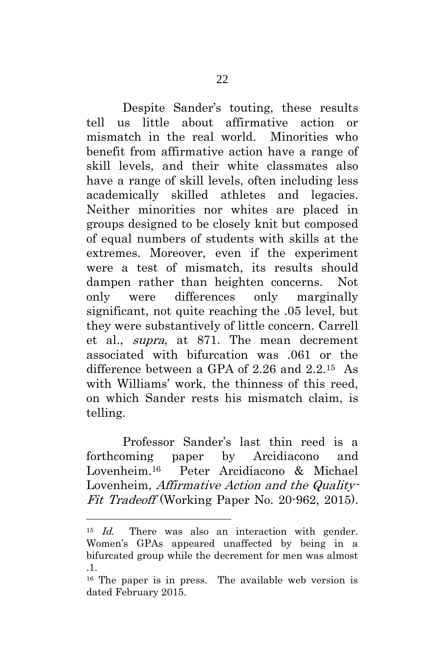Despite Sander's touting, these results tell us little about affirmative action or mismatch in the real world. Minorities who benefit from affirmative action have a range of skill levels, and their white classmates also have a range of skill levels, often including less academically skilled athletes and legacies. Neither minorities nor whites are placed in groups designed to be closely knit but composed of equal numbers of students with skills at the extremes. Moreover, even if the experiment were a test of mismatch, its results should dampen rather than heighten concerns. Not only were differences only marginally significant, not quite reaching the .05 level, but they were substantively of little concern. Carrell et al., supra, at 871. The mean decrement associated with bifurcation was .061 or the difference between a GPA of 2.26 and 2.2.15 As with Williams' work, the thinness of this reed, on which Sander rests his mismatch claim, is telling.

Professor Sander's last thin reed is a forthcoming paper by Arcidiacono and Lovenheim.16 Peter Arcidiacono & Michael Lovenheim, Affirmative Action and the Quality-Fit Tradeoff (Working Paper No. 20-962, 2015).

<sup>&</sup>lt;sup>15</sup> *Id.* There was also an interaction with gender. Women's GPAs appeared unaffected by being in a bifurcated group while the decrement for men was almost .1.

<sup>16</sup> The paper is in press. The available web version is dated February 2015.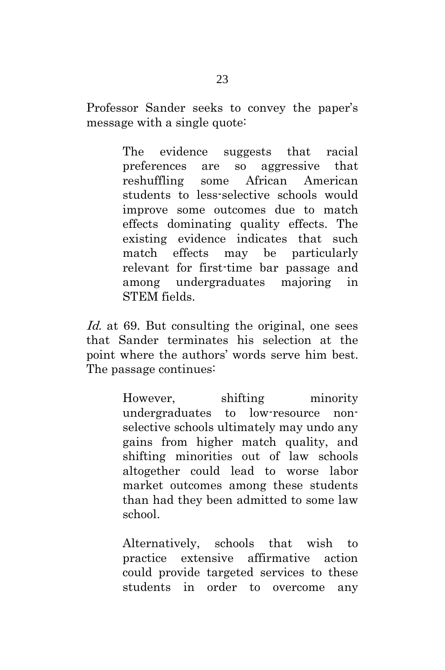Professor Sander seeks to convey the paper's message with a single quote:

> The evidence suggests that racial preferences are so aggressive that reshuffling some African American students to less-selective schools would improve some outcomes due to match effects dominating quality effects. The existing evidence indicates that such match effects may be particularly relevant for first-time bar passage and among undergraduates majoring in STEM fields.

Id. at 69. But consulting the original, one sees that Sander terminates his selection at the point where the authors' words serve him best. The passage continues:

> However, shifting minority undergraduates to low-resource nonselective schools ultimately may undo any gains from higher match quality, and shifting minorities out of law schools altogether could lead to worse labor market outcomes among these students than had they been admitted to some law school.

> Alternatively, schools that wish to practice extensive affirmative action could provide targeted services to these students in order to overcome any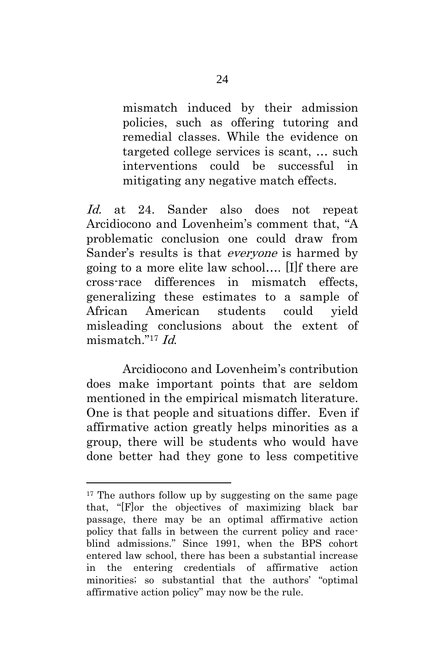mismatch induced by their admission policies, such as offering tutoring and remedial classes. While the evidence on targeted college services is scant, … such interventions could be successful in mitigating any negative match effects.

Id. at 24. Sander also does not repeat Arcidiocono and Lovenheim's comment that, "A problematic conclusion one could draw from Sander's results is that everyone is harmed by going to a more elite law school…. [I]f there are cross-race differences in mismatch effects, generalizing these estimates to a sample of African American students could yield misleading conclusions about the extent of mismatch."<sup>17</sup> Id.

Arcidiocono and Lovenheim's contribution does make important points that are seldom mentioned in the empirical mismatch literature. One is that people and situations differ. Even if affirmative action greatly helps minorities as a group, there will be students who would have done better had they gone to less competitive

<sup>&</sup>lt;sup>17</sup> The authors follow up by suggesting on the same page that, "[F]or the objectives of maximizing black bar passage, there may be an optimal affirmative action policy that falls in between the current policy and raceblind admissions." Since 1991, when the BPS cohort entered law school, there has been a substantial increase in the entering credentials of affirmative action minorities; so substantial that the authors' "optimal affirmative action policy" may now be the rule.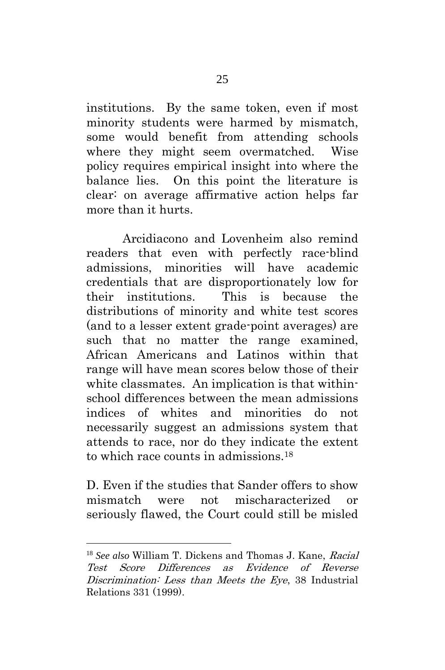institutions. By the same token, even if most minority students were harmed by mismatch, some would benefit from attending schools where they might seem overmatched. Wise policy requires empirical insight into where the balance lies. On this point the literature is clear: on average affirmative action helps far more than it hurts.

Arcidiacono and Lovenheim also remind readers that even with perfectly race-blind admissions, minorities will have academic credentials that are disproportionately low for their institutions. This is because the distributions of minority and white test scores (and to a lesser extent grade-point averages) are such that no matter the range examined, African Americans and Latinos within that range will have mean scores below those of their white classmates. An implication is that withinschool differences between the mean admissions indices of whites and minorities do not necessarily suggest an admissions system that attends to race, nor do they indicate the extent to which race counts in admissions. 18

D. Even if the studies that Sander offers to show mismatch were not mischaracterized or seriously flawed, the Court could still be misled

<sup>18</sup> *See also* William T. Dickens and Thomas J. Kane, Racial Test Score Differences as Evidence of Reverse Discrimination: Less than Meets the Eye, 38 Industrial Relations 331 (1999).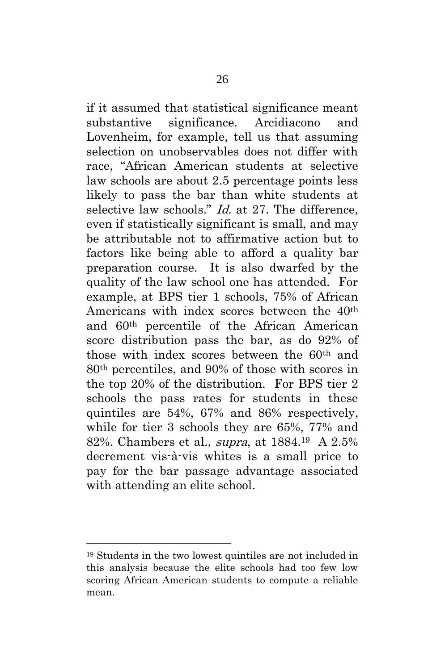if it assumed that statistical significance meant substantive significance. Arcidiacono and Lovenheim, for example, tell us that assuming selection on unobservables does not differ with race, "African American students at selective law schools are about 2.5 percentage points less likely to pass the bar than white students at selective law schools." *Id.* at 27. The difference, even if statistically significant is small, and may be attributable not to affirmative action but to factors like being able to afford a quality bar preparation course. It is also dwarfed by the quality of the law school one has attended. For example, at BPS tier 1 schools, 75% of African Americans with index scores between the 40th and 60th percentile of the African American score distribution pass the bar, as do 92% of those with index scores between the 60th and 80th percentiles, and 90% of those with scores in the top 20% of the distribution. For BPS tier 2 schools the pass rates for students in these quintiles are 54%, 67% and 86% respectively, while for tier 3 schools they are 65%, 77% and 82%. Chambers et al., supra, at 1884.19 A 2.5% decrement vis-à-vis whites is a small price to pay for the bar passage advantage associated with attending an elite school.

<sup>19</sup> Students in the two lowest quintiles are not included in this analysis because the elite schools had too few low scoring African American students to compute a reliable mean.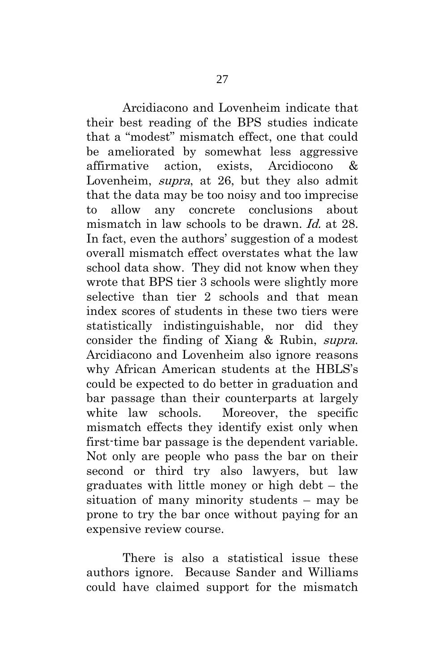Arcidiacono and Lovenheim indicate that their best reading of the BPS studies indicate that a "modest" mismatch effect, one that could be ameliorated by somewhat less aggressive affirmative action, exists, Arcidiocono & Lovenheim, supra, at 26, but they also admit that the data may be too noisy and too imprecise to allow any concrete conclusions about mismatch in law schools to be drawn. *Id.* at 28. In fact, even the authors' suggestion of a modest overall mismatch effect overstates what the law school data show. They did not know when they wrote that BPS tier 3 schools were slightly more selective than tier 2 schools and that mean index scores of students in these two tiers were statistically indistinguishable, nor did they consider the finding of Xiang & Rubin, supra. Arcidiacono and Lovenheim also ignore reasons why African American students at the HBLS's could be expected to do better in graduation and bar passage than their counterparts at largely white law schools. Moreover, the specific mismatch effects they identify exist only when first-time bar passage is the dependent variable. Not only are people who pass the bar on their second or third try also lawyers, but law graduates with little money or high debt – the situation of many minority students – may be prone to try the bar once without paying for an expensive review course.

There is also a statistical issue these authors ignore. Because Sander and Williams could have claimed support for the mismatch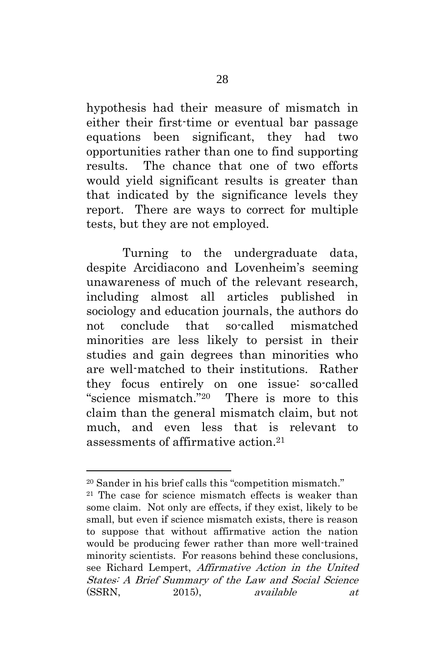hypothesis had their measure of mismatch in either their first-time or eventual bar passage equations been significant, they had two opportunities rather than one to find supporting results. The chance that one of two efforts would yield significant results is greater than that indicated by the significance levels they report. There are ways to correct for multiple tests, but they are not employed.

Turning to the undergraduate data, despite Arcidiacono and Lovenheim's seeming unawareness of much of the relevant research, including almost all articles published in sociology and education journals, the authors do not conclude that so-called mismatched minorities are less likely to persist in their studies and gain degrees than minorities who are well-matched to their institutions. Rather they focus entirely on one issue: so-called "science mismatch."20 There is more to this claim than the general mismatch claim, but not much, and even less that is relevant to assessments of affirmative action.<sup>21</sup>

<sup>20</sup> Sander in his brief calls this "competition mismatch."

<sup>21</sup> The case for science mismatch effects is weaker than some claim. Not only are effects, if they exist, likely to be small, but even if science mismatch exists, there is reason to suppose that without affirmative action the nation would be producing fewer rather than more well-trained minority scientists. For reasons behind these conclusions, see Richard Lempert, Affirmative Action in the United States: A Brief Summary of the Law and Social Science  $(SSRN, 2015)$ , available at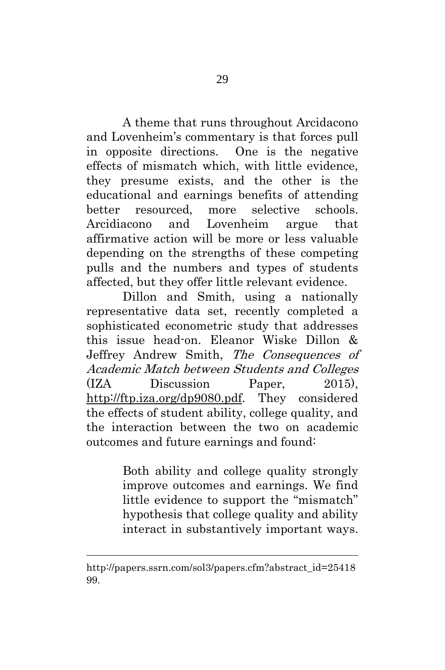A theme that runs throughout Arcidacono and Lovenheim's commentary is that forces pull in opposite directions. One is the negative effects of mismatch which, with little evidence, they presume exists, and the other is the educational and earnings benefits of attending better resourced, more selective schools. Arcidiacono and Lovenheim argue that affirmative action will be more or less valuable depending on the strengths of these competing pulls and the numbers and types of students affected, but they offer little relevant evidence.

Dillon and Smith, using a nationally representative data set, recently completed a sophisticated econometric study that addresses this issue head-on. Eleanor Wiske Dillon & Jeffrey Andrew Smith, The Consequences of Academic Match between Students and Colleges (IZA Discussion Paper, 2015), [http://ftp.iza.org/dp9080.pdf.](http://ftp.iza.org/dp9080.pdf) They considered the effects of student ability, college quality, and the interaction between the two on academic outcomes and future earnings and found:

> Both ability and college quality strongly improve outcomes and earnings. We find little evidence to support the "mismatch" hypothesis that college quality and ability interact in substantively important ways.

[http://papers.ssrn.com/sol3/papers.cfm?abstract\\_id=25418](http://papers.ssrn.com/sol3/papers.cfm?abstract_id=2541899) [99.](http://papers.ssrn.com/sol3/papers.cfm?abstract_id=2541899)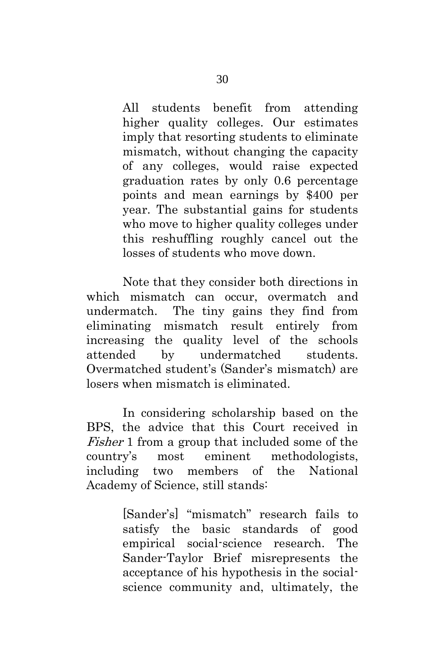All students benefit from attending higher quality colleges. Our estimates imply that resorting students to eliminate mismatch, without changing the capacity of any colleges, would raise expected graduation rates by only 0.6 percentage points and mean earnings by \$400 per year. The substantial gains for students who move to higher quality colleges under this reshuffling roughly cancel out the losses of students who move down.

Note that they consider both directions in which mismatch can occur, overmatch and undermatch. The tiny gains they find from eliminating mismatch result entirely from increasing the quality level of the schools attended by undermatched students. Overmatched student's (Sander's mismatch) are losers when mismatch is eliminated.

In considering scholarship based on the BPS, the advice that this Court received in Fisher 1 from a group that included some of the country's most eminent methodologists, including two members of the National Academy of Science, still stands:

> [Sander's] "mismatch" research fails to satisfy the basic standards of good empirical social-science research. The Sander-Taylor Brief misrepresents the acceptance of his hypothesis in the socialscience community and, ultimately, the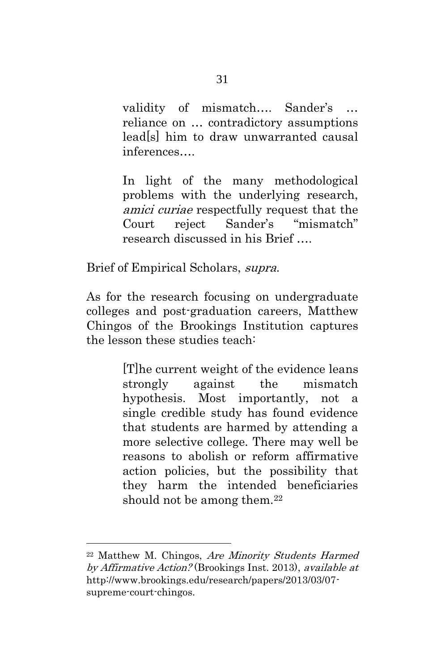validity of mismatch…. Sander's … reliance on … contradictory assumptions lead[s] him to draw unwarranted causal inferences….

In light of the many methodological problems with the underlying research, amici curiae respectfully request that the Court reject Sander's "mismatch" research discussed in his Brief ….

Brief of Empirical Scholars, supra.

As for the research focusing on undergraduate colleges and post-graduation careers, Matthew Chingos of the Brookings Institution captures the lesson these studies teach:

> [T]he current weight of the evidence leans strongly against the mismatch hypothesis. Most importantly, not a single credible study has found evidence that students are harmed by attending a more selective college. There may well be reasons to abolish or reform affirmative action policies, but the possibility that they harm the intended beneficiaries should not be among them.<sup>22</sup>

<sup>22</sup> Matthew M. Chingos, Are Minority Students Harmed by Affirmative Action? (Brookings Inst. 2013), available at http://www.brookings.edu/research/papers/2013/03/07 supreme-court-chingos.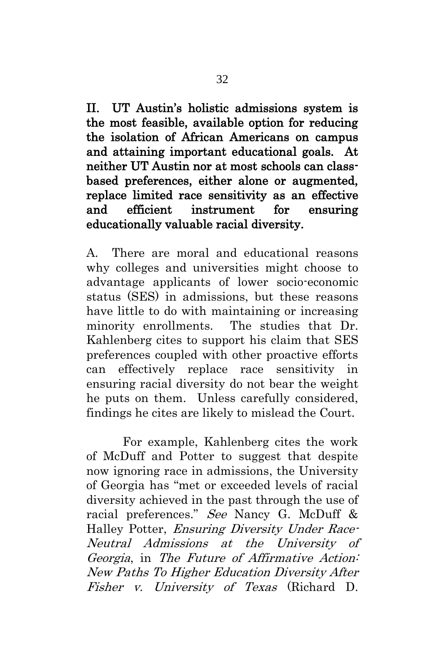<span id="page-41-0"></span>II. UT Austin's holistic admissions system is the most feasible, available option for reducing the isolation of African Americans on campus and attaining important educational goals. At neither UT Austin nor at most schools can classbased preferences, either alone or augmented, replace limited race sensitivity as an effective and efficient instrument for ensuring educationally valuable racial diversity.

A. There are moral and educational reasons why colleges and universities might choose to advantage applicants of lower socio-economic status (SES) in admissions, but these reasons have little to do with maintaining or increasing minority enrollments. The studies that Dr. Kahlenberg cites to support his claim that SES preferences coupled with other proactive efforts can effectively replace race sensitivity in ensuring racial diversity do not bear the weight he puts on them. Unless carefully considered, findings he cites are likely to mislead the Court.

For example, Kahlenberg cites the work of McDuff and Potter to suggest that despite now ignoring race in admissions, the University of Georgia has "met or exceeded levels of racial diversity achieved in the past through the use of racial preferences." See Nancy G. McDuff & Halley Potter, Ensuring Diversity Under Race-Neutral Admissions at the University of Georgia, in The Future of Affirmative Action: New Paths To Higher Education Diversity After Fisher v. University of Texas (Richard D.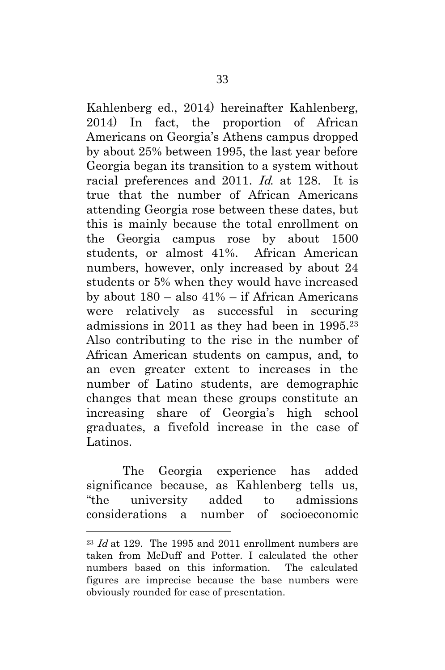Kahlenberg ed., 2014) hereinafter Kahlenberg, 2014) In fact, the proportion of African Americans on Georgia's Athens campus dropped by about 25% between 1995, the last year before Georgia began its transition to a system without racial preferences and 2011. Id. at 128. It is true that the number of African Americans attending Georgia rose between these dates, but this is mainly because the total enrollment on the Georgia campus rose by about 1500 students, or almost 41%. African American numbers, however, only increased by about 24 students or 5% when they would have increased by about 180 – also 41% – if African Americans were relatively as successful in securing admissions in 2011 as they had been in 1995.<sup>23</sup> Also contributing to the rise in the number of African American students on campus, and, to an even greater extent to increases in the number of Latino students, are demographic changes that mean these groups constitute an increasing share of Georgia's high school graduates, a fivefold increase in the case of Latinos.

The Georgia experience has added significance because, as Kahlenberg tells us, "the university added to admissions considerations a number of socioeconomic

 $^{23}$  *Id* at 129. The 1995 and 2011 enrollment numbers are taken from McDuff and Potter. I calculated the other numbers based on this information. The calculated figures are imprecise because the base numbers were obviously rounded for ease of presentation.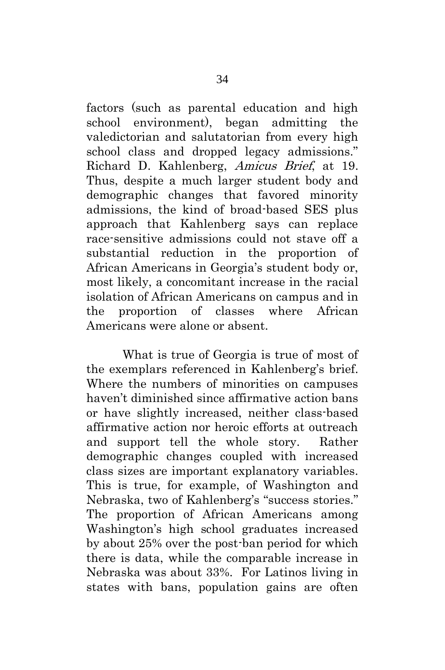factors (such as parental education and high school environment), began admitting the valedictorian and salutatorian from every high school class and dropped legacy admissions." Richard D. Kahlenberg, Amicus Brief, at 19. Thus, despite a much larger student body and demographic changes that favored minority admissions, the kind of broad-based SES plus approach that Kahlenberg says can replace race-sensitive admissions could not stave off a substantial reduction in the proportion of African Americans in Georgia's student body or, most likely, a concomitant increase in the racial isolation of African Americans on campus and in the proportion of classes where African Americans were alone or absent.

What is true of Georgia is true of most of the exemplars referenced in Kahlenberg's brief. Where the numbers of minorities on campuses haven't diminished since affirmative action bans or have slightly increased, neither class-based affirmative action nor heroic efforts at outreach and support tell the whole story. Rather demographic changes coupled with increased class sizes are important explanatory variables. This is true, for example, of Washington and Nebraska, two of Kahlenberg's "success stories." The proportion of African Americans among Washington's high school graduates increased by about 25% over the post-ban period for which there is data, while the comparable increase in Nebraska was about 33%. For Latinos living in states with bans, population gains are often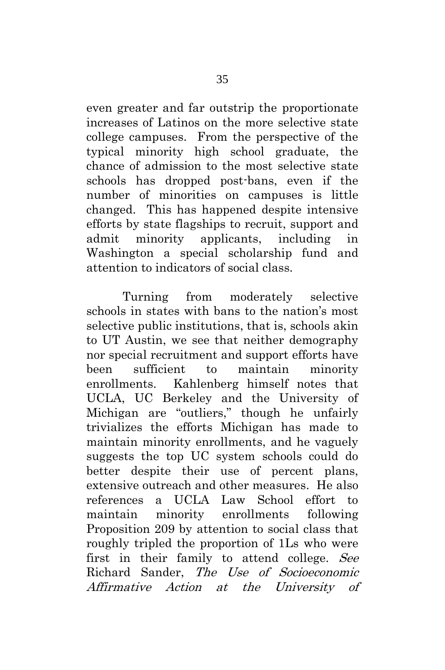even greater and far outstrip the proportionate increases of Latinos on the more selective state college campuses. From the perspective of the typical minority high school graduate, the chance of admission to the most selective state schools has dropped post-bans, even if the number of minorities on campuses is little changed. This has happened despite intensive efforts by state flagships to recruit, support and admit minority applicants, including in Washington a special scholarship fund and attention to indicators of social class.

Turning from moderately selective schools in states with bans to the nation's most selective public institutions, that is, schools akin to UT Austin, we see that neither demography nor special recruitment and support efforts have been sufficient to maintain minority enrollments. Kahlenberg himself notes that UCLA, UC Berkeley and the University of Michigan are "outliers," though he unfairly trivializes the efforts Michigan has made to maintain minority enrollments, and he vaguely suggests the top UC system schools could do better despite their use of percent plans, extensive outreach and other measures. He also references a UCLA Law School effort to maintain minority enrollments following Proposition 209 by attention to social class that roughly tripled the proportion of 1Ls who were first in their family to attend college. See Richard Sander, The Use of Socioeconomic Affirmative Action at the University of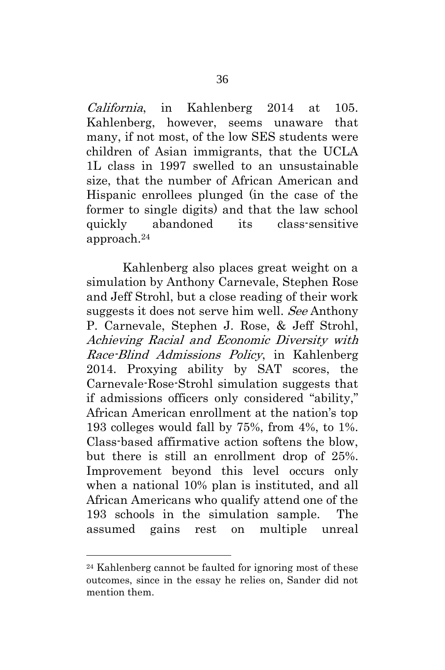California, in Kahlenberg 2014 at 105. Kahlenberg, however, seems unaware that many, if not most, of the low SES students were children of Asian immigrants, that the UCLA 1L class in 1997 swelled to an unsustainable size, that the number of African American and Hispanic enrollees plunged (in the case of the former to single digits) and that the law school quickly abandoned its class-sensitive approach. 24

Kahlenberg also places great weight on a simulation by Anthony Carnevale, Stephen Rose and Jeff Strohl, but a close reading of their work suggests it does not serve him well. See Anthony P. Carnevale, Stephen J. Rose, & Jeff Strohl, Achieving Racial and Economic Diversity with Race-Blind Admissions Policy, in Kahlenberg 2014. Proxying ability by SAT scores, the Carnevale-Rose-Strohl simulation suggests that if admissions officers only considered "ability," African American enrollment at the nation's top 193 colleges would fall by 75%, from 4%, to 1%. Class-based affirmative action softens the blow, but there is still an enrollment drop of 25%. Improvement beyond this level occurs only when a national 10% plan is instituted, and all African Americans who qualify attend one of the 193 schools in the simulation sample. The assumed gains rest on multiple unreal

<sup>24</sup> Kahlenberg cannot be faulted for ignoring most of these outcomes, since in the essay he relies on, Sander did not mention them.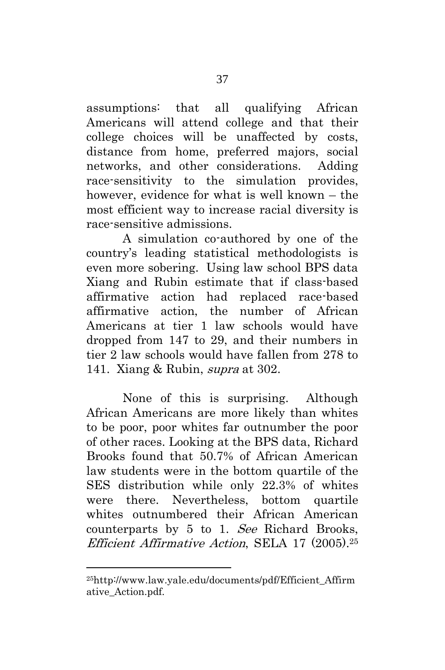assumptions: that all qualifying African Americans will attend college and that their college choices will be unaffected by costs, distance from home, preferred majors, social networks, and other considerations. Adding race-sensitivity to the simulation provides, however, evidence for what is well known – the most efficient way to increase racial diversity is race-sensitive admissions.

A simulation co-authored by one of the country's leading statistical methodologists is even more sobering. Using law school BPS data Xiang and Rubin estimate that if class-based affirmative action had replaced race-based affirmative action, the number of African Americans at tier 1 law schools would have dropped from 147 to 29, and their numbers in tier 2 law schools would have fallen from 278 to 141. Xiang & Rubin, supra at 302.

None of this is surprising. Although African Americans are more likely than whites to be poor, poor whites far outnumber the poor of other races. Looking at the BPS data, Richard Brooks found that 50.7% of African American law students were in the bottom quartile of the SES distribution while only 22.3% of whites were there. Nevertheless, bottom quartile whites outnumbered their African American counterparts by 5 to 1. See Richard Brooks, Efficient Affirmative Action, SELA 17 (2005). <sup>25</sup>

<sup>25</sup>[http://www.law.yale.edu/documents/pdf/Efficient\\_Affirm](http://www.law.yale.edu/documents/pdf/Efficient_Affirmative_Action.pdf) [ative\\_Action.pdf](http://www.law.yale.edu/documents/pdf/Efficient_Affirmative_Action.pdf)*.*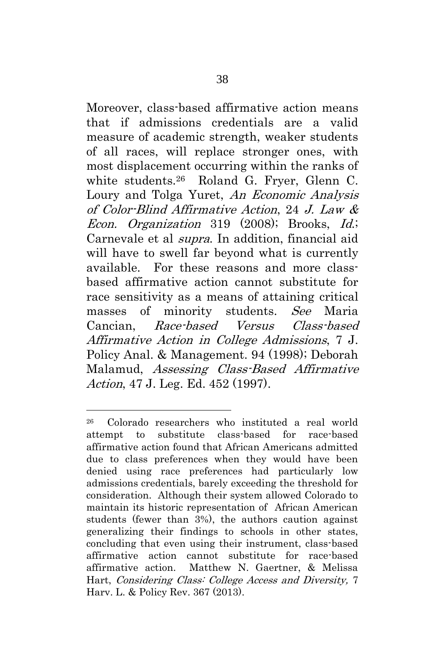Moreover, class-based affirmative action means that if admissions credentials are a valid measure of academic strength, weaker students of all races, will replace stronger ones, with most displacement occurring within the ranks of white students.<sup>26</sup> Roland G. Fryer, Glenn C. Loury and Tolga Yuret, An Economic Analysis of Color-Blind Affirmative Action, 24 J. Law & Econ. Organization 319 (2008); Brooks, Id.; Carnevale et al supra. In addition, financial aid will have to swell far beyond what is currently available. For these reasons and more classbased affirmative action cannot substitute for race sensitivity as a means of attaining critical masses of minority students. See Maria Cancian, Race-based Versus Class-based Affirmative Action in College Admissions, 7 J. Policy Anal. & Management. 94 (1998); Deborah Malamud, Assessing Class-Based Affirmative Action, 47 J. Leg. Ed. 452 (1997).

<sup>26</sup> Colorado researchers who instituted a real world attempt to substitute class-based for race-based affirmative action found that African Americans admitted due to class preferences when they would have been denied using race preferences had particularly low admissions credentials, barely exceeding the threshold for consideration. Although their system allowed Colorado to maintain its historic representation of African American students (fewer than 3%), the authors caution against generalizing their findings to schools in other states, concluding that even using their instrument, class-based affirmative action cannot substitute for race-based affirmative action. Matthew N. Gaertner, & Melissa Hart, Considering Class: College Access and Diversity, 7 Harv. L. & Policy Rev. 367 (2013).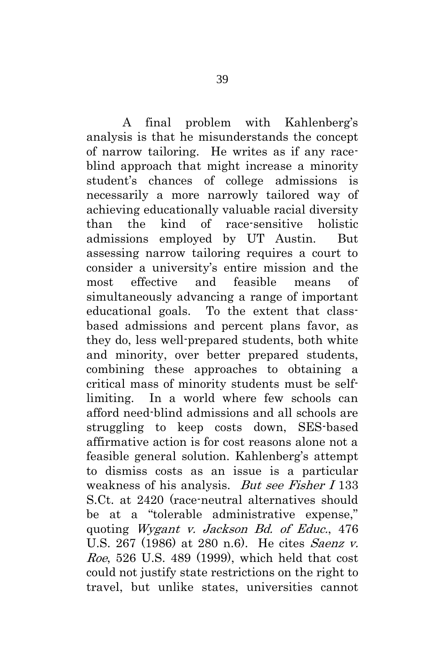A final problem with Kahlenberg's analysis is that he misunderstands the concept of narrow tailoring. He writes as if any raceblind approach that might increase a minority student's chances of college admissions is necessarily a more narrowly tailored way of achieving educationally valuable racial diversity than the kind of race-sensitive holistic admissions employed by UT Austin. But assessing narrow tailoring requires a court to consider a university's entire mission and the most effective and feasible means of simultaneously advancing a range of important educational goals. To the extent that classbased admissions and percent plans favor, as they do, less well-prepared students, both white and minority, over better prepared students, combining these approaches to obtaining a critical mass of minority students must be selflimiting. In a world where few schools can afford need-blind admissions and all schools are struggling to keep costs down, SES-based affirmative action is for cost reasons alone not a feasible general solution. Kahlenberg's attempt to dismiss costs as an issue is a particular weakness of his analysis. *But see Fisher I* 133 S.Ct. at 2420 (race-neutral alternatives should be at a "tolerable administrative expense," quoting Wygant v. Jackson Bd. of Educ., 476 U.S. 267 (1986) at 280 n.6). He cites Saenz v. Roe, 526 U.S. 489 (1999), which held that cost could not justify state restrictions on the right to travel, but unlike states, universities cannot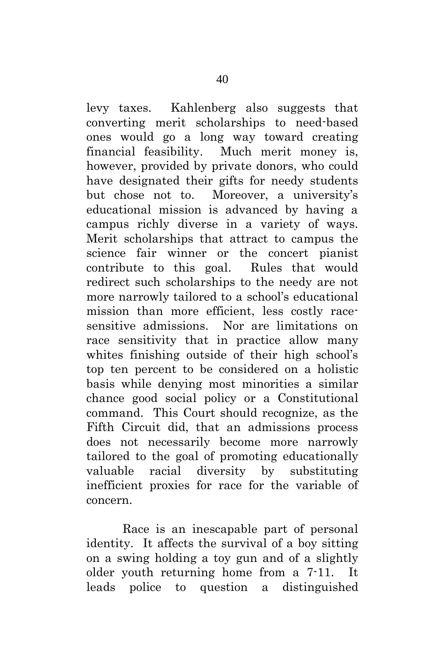levy taxes. Kahlenberg also suggests that converting merit scholarships to need-based ones would go a long way toward creating financial feasibility. Much merit money is, however, provided by private donors, who could have designated their gifts for needy students but chose not to. Moreover, a university's educational mission is advanced by having a campus richly diverse in a variety of ways. Merit scholarships that attract to campus the science fair winner or the concert pianist contribute to this goal. Rules that would redirect such scholarships to the needy are not more narrowly tailored to a school's educational mission than more efficient, less costly racesensitive admissions. Nor are limitations on race sensitivity that in practice allow many whites finishing outside of their high school's top ten percent to be considered on a holistic basis while denying most minorities a similar chance good social policy or a Constitutional command. This Court should recognize, as the Fifth Circuit did, that an admissions process does not necessarily become more narrowly tailored to the goal of promoting educationally valuable racial diversity by substituting inefficient proxies for race for the variable of concern.

Race is an inescapable part of personal identity. It affects the survival of a boy sitting on a swing holding a toy gun and of a slightly older youth returning home from a 7-11. It leads police to question a distinguished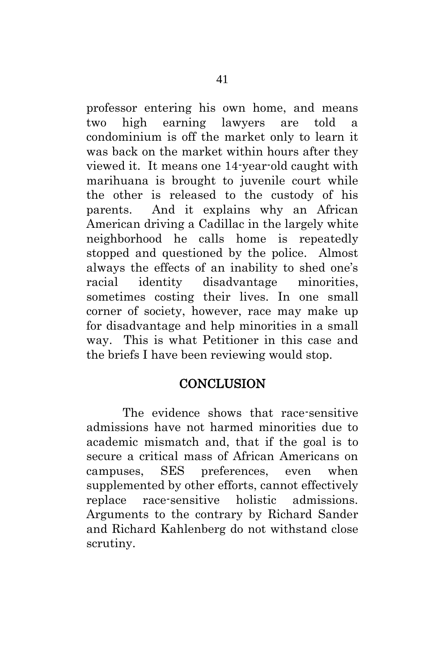professor entering his own home, and means two high earning lawyers are told a condominium is off the market only to learn it was back on the market within hours after they viewed it. It means one 14-year-old caught with marihuana is brought to juvenile court while the other is released to the custody of his parents. And it explains why an African American driving a Cadillac in the largely white neighborhood he calls home is repeatedly stopped and questioned by the police. Almost always the effects of an inability to shed one's racial identity disadvantage minorities, sometimes costing their lives. In one small corner of society, however, race may make up for disadvantage and help minorities in a small way. This is what Petitioner in this case and the briefs I have been reviewing would stop.

### **CONCLUSION**

<span id="page-50-0"></span>The evidence shows that race-sensitive admissions have not harmed minorities due to academic mismatch and, that if the goal is to secure a critical mass of African Americans on campuses, SES preferences, even when supplemented by other efforts, cannot effectively replace race-sensitive holistic admissions. Arguments to the contrary by Richard Sander and Richard Kahlenberg do not withstand close scrutiny.